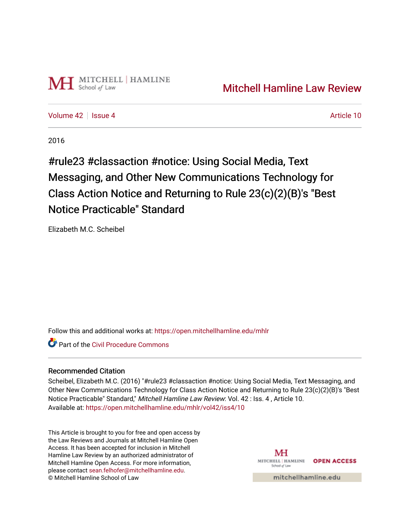

[Volume 42](https://open.mitchellhamline.edu/mhlr/vol42) | [Issue 4](https://open.mitchellhamline.edu/mhlr/vol42/iss4) Article 10

2016

#rule23 #classaction #notice: Using Social Media, Text Messaging, and Other New Communications Technology for Class Action Notice and Returning to Rule 23(c)(2)(B)'s "Best Notice Practicable" Standard

Elizabeth M.C. Scheibel

Follow this and additional works at: [https://open.mitchellhamline.edu/mhlr](https://open.mitchellhamline.edu/mhlr?utm_source=open.mitchellhamline.edu%2Fmhlr%2Fvol42%2Fiss4%2F10&utm_medium=PDF&utm_campaign=PDFCoverPages) 

**C** Part of the Civil Procedure Commons

# Recommended Citation

Scheibel, Elizabeth M.C. (2016) "#rule23 #classaction #notice: Using Social Media, Text Messaging, and Other New Communications Technology for Class Action Notice and Returning to Rule 23(c)(2)(B)'s "Best Notice Practicable" Standard," Mitchell Hamline Law Review: Vol. 42 : Iss. 4 , Article 10. Available at: [https://open.mitchellhamline.edu/mhlr/vol42/iss4/10](https://open.mitchellhamline.edu/mhlr/vol42/iss4/10?utm_source=open.mitchellhamline.edu%2Fmhlr%2Fvol42%2Fiss4%2F10&utm_medium=PDF&utm_campaign=PDFCoverPages)

This Article is brought to you for free and open access by the Law Reviews and Journals at Mitchell Hamline Open Access. It has been accepted for inclusion in Mitchell Hamline Law Review by an authorized administrator of Mitchell Hamline Open Access. For more information, please contact [sean.felhofer@mitchellhamline.edu.](mailto:sean.felhofer@mitchellhamline.edu) © Mitchell Hamline School of Law

MH MITCHELL | HAMLINE **OPEN ACCESS** School of Lav

mitchellhamline.edu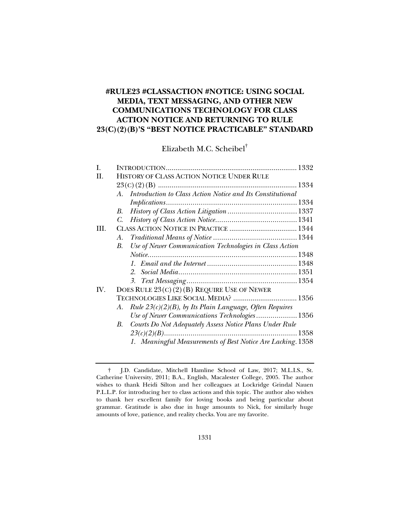# **#RULE23 #CLASSACTION #NOTICE: USING SOCIAL MEDIA, TEXT MESSAGING, AND OTHER NEW COMMUNICATIONS TECHNOLOGY FOR CLASS ACTION NOTICE AND RETURNING TO RULE 23(C)(2)(B)'S "BEST NOTICE PRACTICABLE" STANDARD**

Elizabeth M.C. Scheibel†

| L    |                                                                  |  |  |
|------|------------------------------------------------------------------|--|--|
| H.   | HISTORY OF CLASS ACTION NOTICE UNDER RULE                        |  |  |
|      |                                                                  |  |  |
|      | A. Introduction to Class Action Notice and Its Constitutional    |  |  |
|      |                                                                  |  |  |
|      | В.                                                               |  |  |
|      |                                                                  |  |  |
| III. |                                                                  |  |  |
|      | A.                                                               |  |  |
|      | Use of Newer Communication Technologies in Class Action<br>В.    |  |  |
|      |                                                                  |  |  |
|      |                                                                  |  |  |
|      |                                                                  |  |  |
|      |                                                                  |  |  |
| IV.  | DOES RULE $23(C)(2)(B)$ REQUIRE USE OF NEWER                     |  |  |
|      | TECHNOLOGIES LIKE SOCIAL MEDIA?  1356                            |  |  |
|      | Rule $23(c)(2)(B)$ , by Its Plain Language, Often Requires<br>A. |  |  |
|      | Use of Newer Communications Technologies  1356                   |  |  |
|      | B. Courts Do Not Adequately Assess Notice Plans Under Rule       |  |  |
|      |                                                                  |  |  |
|      | 1. Meaningful Measurements of Best Notice Are Lacking. 1358      |  |  |

 <sup>†</sup> J.D. Candidate, Mitchell Hamline School of Law, 2017; M.L.I.S., St. Catherine University, 2011; B.A., English, Macalester College, 2005. The author wishes to thank Heidi Silton and her colleagues at Lockridge Grindal Nauen P.L.L.P. for introducing her to class actions and this topic. The author also wishes to thank her excellent family for loving books and being particular about grammar. Gratitude is also due in huge amounts to Nick, for similarly huge amounts of love, patience, and reality checks. You are my favorite.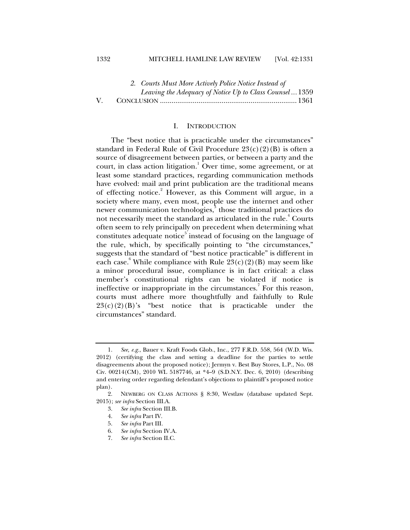# 1332 MITCHELL HAMLINE LAW REVIEW [Vol. 42:1331

|    | 2. Courts Must More Actively Police Notice Instead of |                                                          |  |
|----|-------------------------------------------------------|----------------------------------------------------------|--|
|    |                                                       | Leaving the Adequacy of Notice Up to Class Counsel  1359 |  |
| V. |                                                       |                                                          |  |

### I. INTRODUCTION

The "best notice that is practicable under the circumstances" standard in Federal Rule of Civil Procedure  $23(c)(2)(B)$  is often a source of disagreement between parties, or between a party and the court, in class action litigation.<sup>1</sup> Over time, some agreement, or at least some standard practices, regarding communication methods have evolved: mail and print publication are the traditional means of effecting notice.<sup>2</sup> However, as this Comment will argue, in a society where many, even most, people use the internet and other newer communication technologies,<sup>3</sup> those traditional practices do not necessarily meet the standard as articulated in the rule. $^\text{4}$  Courts often seem to rely principally on precedent when determining what constitutes adequate notice<sup>5</sup> instead of focusing on the language of the rule, which, by specifically pointing to "the circumstances," suggests that the standard of "best notice practicable" is different in each case.<sup>6</sup> While compliance with Rule  $23(c)(2)(B)$  may seem like a minor procedural issue, compliance is in fact critical: a class member's constitutional rights can be violated if notice is ineffective or inappropriate in the circumstances.<sup>7</sup> For this reason, courts must adhere more thoughtfully and faithfully to Rule  $23(c)(2)(B)$ 's "best notice that is practicable under the circumstances" standard.

 <sup>1.</sup> *See, e.g.*, Bauer v. Kraft Foods Glob., Inc., 277 F.R.D. 558, 564 (W.D. Wis. 2012) (certifying the class and setting a deadline for the parties to settle disagreements about the proposed notice); Jermyn v. Best Buy Stores, L.P., No. 08 Civ. 00214(CM), 2010 WL 5187746, at \*4–9 (S.D.N.Y. Dec. 6, 2010) (describing and entering order regarding defendant's objections to plaintiff's proposed notice plan).

 <sup>2.</sup> NEWBERG ON CLASS ACTIONS § 8:30, Westlaw (database updated Sept. 2015); *see infra* Section III.A.

 <sup>3.</sup> *See infra* Section III.B.

 <sup>4.</sup> *See infra* Part IV.

 <sup>5.</sup> *See infra* Part III.

 <sup>6.</sup> *See infra* Section IV.A.

 <sup>7.</sup> *See infra* Section II.C.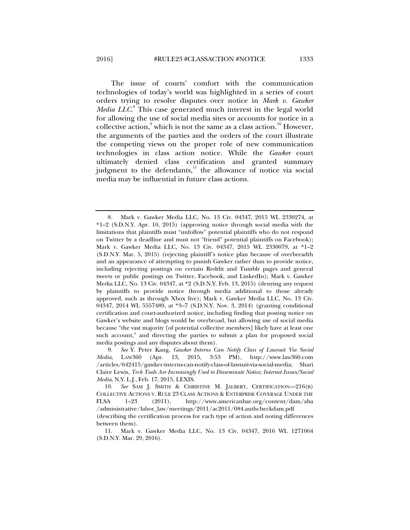The issue of courts' comfort with the communication technologies of today's world was highlighted in a series of court orders trying to resolve disputes over notice in *Mark v. Gawker*  Media LLC.<sup>8</sup> This case generated much interest in the legal world for allowing the use of social media sites or accounts for notice in a collective action, which is not the same as a class action.<sup>10</sup> However, the arguments of the parties and the orders of the court illustrate the competing views on the proper role of new communication technologies in class action notice. While the *Gawker* court ultimately denied class certification and granted summary judgment to the defendants, $\frac{11}{11}$  the allowance of notice via social media may be influential in future class actions.

 <sup>8.</sup> Mark v. Gawker Media LLC, No. 13 Civ. 04347, 2015 WL 2330274, at \*1–2 (S.D.N.Y. Apr. 10, 2015) (approving notice through social media with the limitations that plaintiffs must "unfollow" potential plaintiffs who do not respond on Twitter by a deadline and must not "friend" potential plaintiffs on Facebook); Mark v. Gawker Media LLC, No. 13 Civ. 04347, 2015 WL 2330079, at \*1–2 (S.D.N.Y. Mar. 5, 2015) (rejecting plaintiff's notice plan because of overbreadth and an appearance of attempting to punish Gawker rather than to provide notice, including rejecting postings on certain Reddit and Tumblr pages and general tweets or public postings on Twitter, Facebook, and LinkedIn); Mark v. Gawker Media LLC, No. 13 Civ. 04347, at \*2 (S.D.N.Y. Feb. 13, 2015) (denying any request by plaintiffs to provide notice through media additional to those already approved, such as through Xbox live); Mark v. Gawker Media LLC, No. 13 Civ. 04347, 2014 WL 5557489, at \*3–7 (S.D.N.Y. Nov. 3, 2014) (granting conditional certification and court-authorized notice, including finding that posting notice on Gawker's website and blogs would be overbroad, but allowing use of social media because "the vast majority [of potential collective members] likely have at least one such account," and directing the parties to submit a plan for proposed social media postings and any disputes about them).

 <sup>9.</sup> *See* Y. Peter Kang, *Gawker Interns Can Notify Class of Lawsuit Via Social Media*, LAW360 (Apr. 13, 2015, 3:53 PM), http://www.law360.com /articles/642415/gawker-interns-can-notify-class-of-lawsuit-via-social-media; Shari Claire Lewis, *Tech Tools Are Increasingly Used to Disseminate Notice; Internet Issues/Social Media*, N.Y. L.J., Feb. 17, 2015, LEXIS.

 <sup>10.</sup> *See* SAM J. SMITH & CHRISTINE M. JALBERT, CERTIFICATION—216(B) COLLECTIVE ACTIONS V. RULE 23 CLASS ACTIONS & ENTERPRISE COVERAGE UNDER THE FLSA 1–23 (2011), http://www.americanbar.org/content/dam/aba /administrative/labor\_law/meetings/2011/ac2011/084.authcheckdam.pdf (describing the certification process for each type of action and noting differences

between them). 11. Mark v. Gawker Media LLC, No. 13 Civ. 04347, 2016 WL 1271064 (S.D.N.Y. Mar. 29, 2016).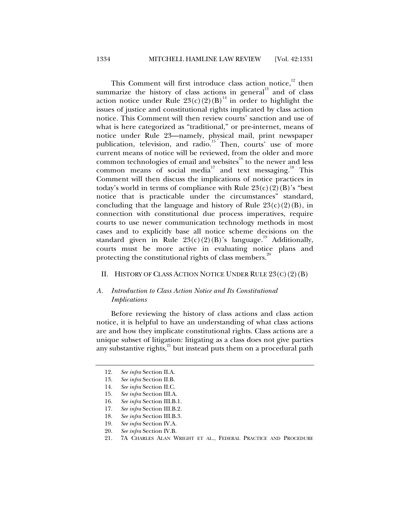This Comment will first introduce class action notice, $12$  then summarize the history of class actions in general<sup>13</sup> and of class action notice under Rule  $23(c)(2)(B)^{14}$  in order to highlight the issues of justice and constitutional rights implicated by class action notice. This Comment will then review courts' sanction and use of what is here categorized as "traditional," or pre-internet, means of notice under Rule 23—namely, physical mail, print newspaper publication, television, and radio.<sup>15</sup> Then, courts' use of more current means of notice will be reviewed, from the older and more common technologies of email and websites $16$  to the newer and less common means of social media<sup>17</sup> and text messaging.<sup>18</sup> This Comment will then discuss the implications of notice practices in today's world in terms of compliance with Rule  $23(c)(2)(B)$ 's "best notice that is practicable under the circumstances" standard, concluding that the language and history of Rule  $23(c)(2)(B)$ , in connection with constitutional due process imperatives, require courts to use newer communication technology methods in most cases and to explicitly base all notice scheme decisions on the standard given in Rule  $23(c)(2)(B)$ 's language.<sup>19</sup> Additionally, courts must be more active in evaluating notice plans and protecting the constitutional rights of class members.<sup>20</sup>

#### II. HISTORY OF CLASS ACTION NOTICE UNDER RULE  $23(C)(2)(B)$

# *A. Introduction to Class Action Notice and Its Constitutional Implications*

Before reviewing the history of class actions and class action notice, it is helpful to have an understanding of what class actions are and how they implicate constitutional rights. Class actions are a unique subset of litigation: litigating as a class does not give parties any substantive rights,<sup>21</sup> but instead puts them on a procedural path

 <sup>12.</sup> *See infra* Section II.A.

 <sup>13.</sup> *See infra* Section II.B.

 <sup>14.</sup> *See infra* Section II.C.

 <sup>15.</sup> *See infra* Section III.A.

 <sup>16.</sup> *See infra* Section III.B.1.

 <sup>17.</sup> *See infra* Section III.B.2.

 <sup>18.</sup> *See infra* Section III.B.3.

 <sup>19.</sup> *See infra* Section IV.A.

 <sup>20.</sup> *See infra* Section IV.B.

 <sup>21. 7</sup>A CHARLES ALAN WRIGHT ET AL., FEDERAL PRACTICE AND PROCEDURE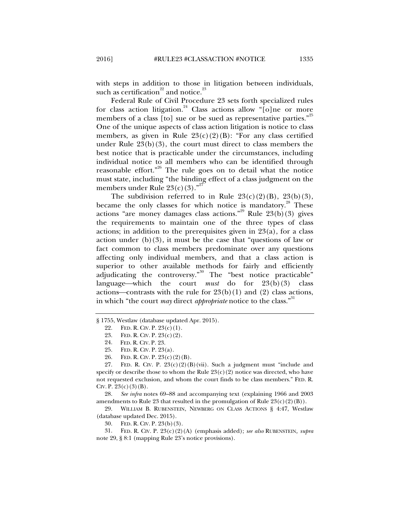with steps in addition to those in litigation between individuals, such as certification<sup>22</sup> and notice.<sup>23</sup>

Federal Rule of Civil Procedure 23 sets forth specialized rules for class action litigation.<sup>24</sup> Class actions allow "[o]ne or more members of a class [to] sue or be sued as representative parties."<sup>25</sup> One of the unique aspects of class action litigation is notice to class members, as given in Rule  $23(c)(2)(B)$ : "For any class certified under Rule  $23(b)(3)$ , the court must direct to class members the best notice that is practicable under the circumstances, including individual notice to all members who can be identified through reasonable effort."<sup>26</sup> The rule goes on to detail what the notice must state, including "the binding effect of a class judgment on the members under Rule  $23(c)(3)$ ."<sup>27</sup>

The subdivision referred to in Rule  $23(c)(2)(B)$ ,  $23(b)(3)$ , became the only classes for which notice is mandatory.<sup>28</sup> These actions "are money damages class actions."<sup>29</sup> Rule  $23(b)(3)$  gives the requirements to maintain one of the three types of class actions; in addition to the prerequisites given in  $23(a)$ , for a class action under  $(b)(3)$ , it must be the case that "questions of law or fact common to class members predominate over any questions affecting only individual members, and that a class action is superior to other available methods for fairly and efficiently adjudicating the controversy."<sup>30</sup> The "best notice practicable" language—which the court *must* do for  $23(b)(3)$  class actions—contrasts with the rule for  $23(b)(1)$  and (2) class actions, in which "the court *may* direct *appropriate* notice to the class."<sup>31</sup>

 28. *See infra* notes 69–88 and accompanying text (explaining 1966 and 2003 amendments to Rule 23 that resulted in the promulgation of Rule  $23(c)(2)(B)$ .

 29. WILLIAM B. RUBENSTEIN, NEWBERG ON CLASS ACTIONS § 4:47, Westlaw (database updated Dec. 2015).

30. FED. R. CIV. P. 23(b)(3).

 31. FED. R. CIV. P. 23(c)(2)(A) (emphasis added); *see also* RUBENSTEIN*, supra* note 29, § 8:1 (mapping Rule 23's notice provisions).

<sup>§ 1755,</sup> Westlaw (database updated Apr. 2015).

<sup>22.</sup> FED. R. CIV. P.  $23(c)(1)$ .

 <sup>23.</sup> FED. R. CIV. P. 23(c)(2).

 <sup>24.</sup> FED. R. CIV. P. 23.

 <sup>25.</sup> FED. R. CIV. P. 23(a).

 <sup>26.</sup> FED. R. CIV. P. 23(c)(2)(B).

<sup>27.</sup> FED. R. CIV. P.  $23(c)(2)(B)(vi)$ . Such a judgment must "include and specify or describe those to whom the Rule  $23(c)(2)$  notice was directed, who have not requested exclusion, and whom the court finds to be class members." FED. R. CIV. P.  $23(c)(3)(B)$ .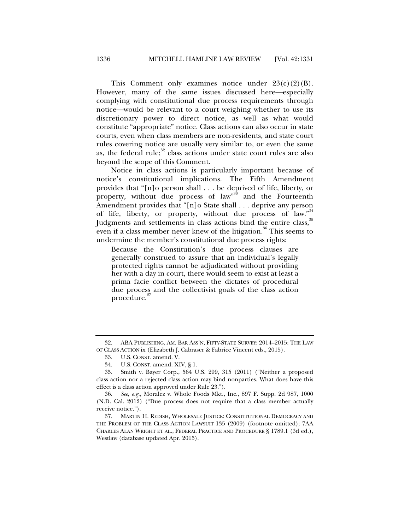This Comment only examines notice under  $23(c)(2)(B)$ . However, many of the same issues discussed here—especially complying with constitutional due process requirements through notice—would be relevant to a court weighing whether to use its discretionary power to direct notice, as well as what would constitute "appropriate" notice. Class actions can also occur in state courts, even when class members are non-residents, and state court rules covering notice are usually very similar to, or even the same as, the federal rule; $32$  class actions under state court rules are also beyond the scope of this Comment.

Notice in class actions is particularly important because of notice's constitutional implications. The Fifth Amendment provides that "[n]o person shall . . . be deprived of life, liberty, or property, without due process of law<sup>333</sup> and the Fourteenth Amendment provides that "[n]o State shall . . . deprive any person of life, liberty, or property, without due process of law."<sup>34</sup> Judgments and settlements in class actions bind the entire class,<sup>35</sup> even if a class member never knew of the litigation.<sup>36</sup> This seems to undermine the member's constitutional due process rights:

Because the Constitution's due process clauses are generally construed to assure that an individual's legally protected rights cannot be adjudicated without providing her with a day in court, there would seem to exist at least a prima facie conflict between the dictates of procedural due process and the collectivist goals of the class action procedure.<sup>37</sup>

ABA PUBLISHING, AM. BAR ASS'N, FIFTY-STATE SURVEY: 2014–2015: THE LAW OF CLASS ACTION ix (Elizabeth J. Cabraser & Fabrice Vincent eds., 2015).

 <sup>33.</sup> U.S. CONST. amend. V.

 <sup>34.</sup> U.S. CONST. amend. XIV, § 1.

 <sup>35.</sup> Smith v. Bayer Corp., 564 U.S. 299, 315 (2011) ("Neither a proposed class action nor a rejected class action may bind nonparties. What does have this effect is a class action approved under Rule 23.").

 <sup>36.</sup> *See, e.g.*, Moralez v. Whole Foods Mkt., Inc., 897 F. Supp. 2d 987, 1000 (N.D. Cal. 2012) ("Due process does not require that a class member actually receive notice.").

 <sup>37.</sup> MARTIN H. REDISH, WHOLESALE JUSTICE: CONSTITUTIONAL DEMOCRACY AND THE PROBLEM OF THE CLASS ACTION LAWSUIT 135 (2009) (footnote omitted); 7AA CHARLES ALAN WRIGHT ET AL., FEDERAL PRACTICE AND PROCEDURE § 1789.1 (3d ed.), Westlaw (database updated Apr. 2015).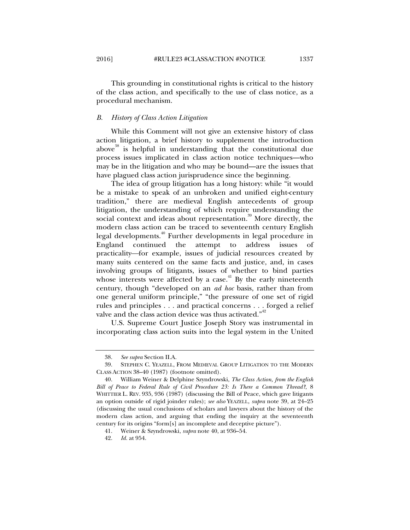This grounding in constitutional rights is critical to the history of the class action, and specifically to the use of class notice, as a procedural mechanism.

# *B. History of Class Action Litigation*

While this Comment will not give an extensive history of class action litigation, a brief history to supplement the introduction above<sup>38</sup> is helpful in understanding that the constitutional due process issues implicated in class action notice techniques—who may be in the litigation and who may be bound—are the issues that have plagued class action jurisprudence since the beginning.

The idea of group litigation has a long history: while "it would be a mistake to speak of an unbroken and unified eight-century tradition," there are medieval English antecedents of group litigation, the understanding of which require understanding the social context and ideas about representation.<sup>39</sup> More directly, the modern class action can be traced to seventeenth century English legal developments.40 Further developments in legal procedure in England continued the attempt to address issues of practicality—for example, issues of judicial resources created by many suits centered on the same facts and justice, and, in cases involving groups of litigants, issues of whether to bind parties whose interests were affected by a case.<sup>41</sup> By the early nineteenth century, though "developed on an *ad hoc* basis, rather than from one general uniform principle," "the pressure of one set of rigid rules and principles . . . and practical concerns . . . forged a relief valve and the class action device was thus activated."<sup>42</sup>

U.S. Supreme Court Justice Joseph Story was instrumental in incorporating class action suits into the legal system in the United

 <sup>38.</sup> *See supra* Section II.A.

 <sup>39.</sup> STEPHEN C. YEAZELL, FROM MEDIEVAL GROUP LITIGATION TO THE MODERN CLASS ACTION 38–40 (1987) (footnote omitted).

 <sup>40.</sup> William Weiner & Delphine Szyndrowski, *The Class Action, from the English Bill of Peace to Federal Rule of Civil Procedure 23: Is There a Common Thread?*, 8 WHITTIER L. REV. 935, 936 (1987) (discussing the Bill of Peace, which gave litigants an option outside of rigid joinder rules); *see also* YEAZELL, *supra* note 39, at 24–25 (discussing the usual conclusions of scholars and lawyers about the history of the modern class action, and arguing that ending the inquiry at the seventeenth century for its origins "form[s] an incomplete and deceptive picture").

 <sup>41.</sup> Weiner & Szyndrowski, *supra* note 40, at 936–54.

 <sup>42.</sup> *Id.* at 954.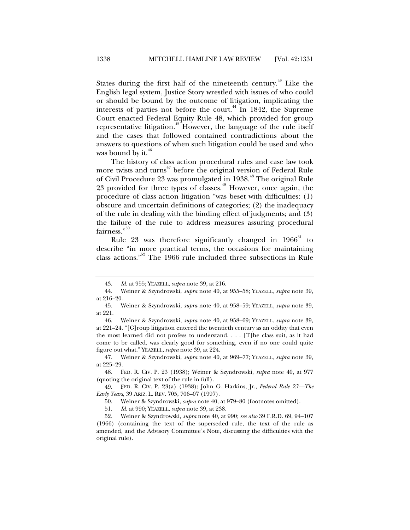States during the first half of the nineteenth century.<sup> $43$ </sup> Like the English legal system, Justice Story wrestled with issues of who could or should be bound by the outcome of litigation, implicating the interests of parties not before the court.<sup>44</sup> In 1842, the Supreme Court enacted Federal Equity Rule 48, which provided for group representative litigation.<sup>45</sup> However, the language of the rule itself and the cases that followed contained contradictions about the answers to questions of when such litigation could be used and who was bound by it. $40^{\circ}$ 

The history of class action procedural rules and case law took more twists and turns<sup>47</sup> before the original version of Federal Rule of Civil Procedure 23 was promulgated in 1938.<sup>48</sup> The original Rule 23 provided for three types of classes.<sup>49</sup> However, once again, the procedure of class action litigation "was beset with difficulties: (1) obscure and uncertain definitions of categories; (2) the inadequacy of the rule in dealing with the binding effect of judgments; and (3) the failure of the rule to address measures assuring procedural fairness."<sup>50</sup>

Rule 23 was therefore significantly changed in  $1966^{51}$  to describe "in more practical terms, the occasions for maintaining class actions."52 The 1966 rule included three subsections in Rule

 <sup>43.</sup> *Id.* at 955; YEAZELL, *supra* note 39, at 216.

 <sup>44.</sup> Weiner & Szyndrowski, *supra* note 40, at 955–58; YEAZELL, *supra* note 39, at 216–20.

 <sup>45.</sup> Weiner & Szyndrowski, *supra* note 40, at 958–59; YEAZELL, *supra* note 39, at 221.

 <sup>46.</sup> Weiner & Szyndrowski, *supra* note 40, at 958–69; YEAZELL, *supra* note 39, at 221–24. "[G]roup litigation entered the twentieth century as an oddity that even the most learned did not profess to understand. . . . [T]he class suit, as it had come to be called, was clearly good for something, even if no one could quite figure out what." YEAZELL, *supra* note 39, at 224.

 <sup>47.</sup> Weiner & Szyndrowski, *supra* note 40, at 969–77; YEAZELL, *supra* note 39, at 225–29.

 <sup>48.</sup> FED. R. CIV. P. 23 (1938); Weiner & Szyndrowski, *supra* note 40, at 977 (quoting the original text of the rule in full).

 <sup>49.</sup> FED. R. CIV. P. 23(a) (1938); John G. Harkins, Jr., *Federal Rule 23—The Early Years*, 39 ARIZ. L. REV. 705, 706–07 (1997).

 <sup>50.</sup> Weiner & Szyndrowski, *supra* note 40, at 979–80 (footnotes omitted).

 <sup>51.</sup> *Id.* at 990; YEAZELL, *supra* note 39, at 238.

 <sup>52.</sup> Weiner & Szyndrowski, *supra* note 40, at 990; *see also* 39 F.R.D. 69, 94–107 (1966) (containing the text of the superseded rule, the text of the rule as amended, and the Advisory Committee's Note, discussing the difficulties with the original rule).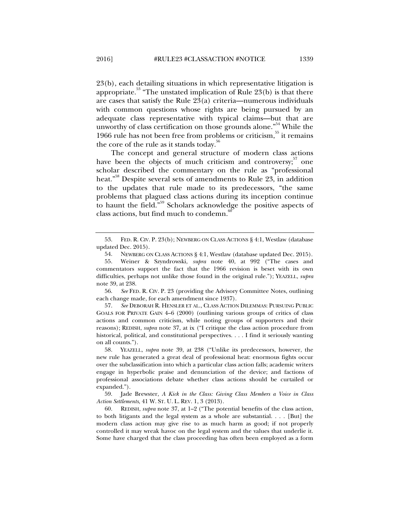23(b), each detailing situations in which representative litigation is appropriate.<sup>53</sup> "The unstated implication of Rule  $23(b)$  is that there are cases that satisfy the Rule 23(a) criteria—numerous individuals with common questions whose rights are being pursued by an adequate class representative with typical claims—but that are unworthy of class certification on those grounds alone."<sup>54</sup> While the 1966 rule has not been free from problems or criticism, $55$  it remains the core of the rule as it stands today. $56$ 

The concept and general structure of modern class actions have been the objects of much criticism and controversy; $57$  one scholar described the commentary on the rule as "professional heat."<sup>58</sup> Despite several sets of amendments to Rule 23, in addition to the updates that rule made to its predecessors, "the same problems that plagued class actions during its inception continue to haunt the field."<sup>59</sup> Scholars acknowledge the positive aspects of class actions, but find much to condemn.<sup>6</sup>

 56. *See* FED. R. CIV. P. 23 (providing the Advisory Committee Notes, outlining each change made, for each amendment since 1937).

 57. *See* DEBORAH R. HENSLER ET AL., CLASS ACTION DILEMMAS: PURSUING PUBLIC GOALS FOR PRIVATE GAIN 4–6 (2000) (outlining various groups of critics of class actions and common criticism, while noting groups of supporters and their reasons); REDISH, *supra* note 37, at ix ("I critique the class action procedure from historical, political, and constitutional perspectives. . . . I find it seriously wanting on all counts.").

 58. YEAZELL, *supra* note 39, at 238 ("Unlike its predecessors, however, the new rule has generated a great deal of professional heat: enormous fights occur over the subclassification into which a particular class action falls; academic writers engage in hyperbolic praise and denunciation of the device; and factions of professional associations debate whether class actions should be curtailed or expanded.").

 59. Jade Brewster, *A Kick in the Class: Giving Class Members a Voice in Class Action Settlements*, 41 W. ST. U. L. REV. 1, 3 (2013).

 60. REDISH, *supra* note 37, at 1–2 ("The potential benefits of the class action, to both litigants and the legal system as a whole are substantial. . . . [But] the modern class action may give rise to as much harm as good; if not properly controlled it may wreak havoc on the legal system and the values that underlie it. Some have charged that the class proceeding has often been employed as a form

 <sup>53.</sup> FED. R. CIV. P. 23(b); NEWBERG ON CLASS ACTIONS § 4:1, Westlaw (database updated Dec. 2015).

 <sup>54.</sup> NEWBERG ON CLASS ACTIONS § 4:1, Westlaw (database updated Dec. 2015).

 <sup>55.</sup> Weiner & Szyndrowski, *supra* note 40, at 992 ("The cases and commentators support the fact that the 1966 revision is beset with its own difficulties, perhaps not unlike those found in the original rule."); YEAZELL, *supra*  note 39, at 238.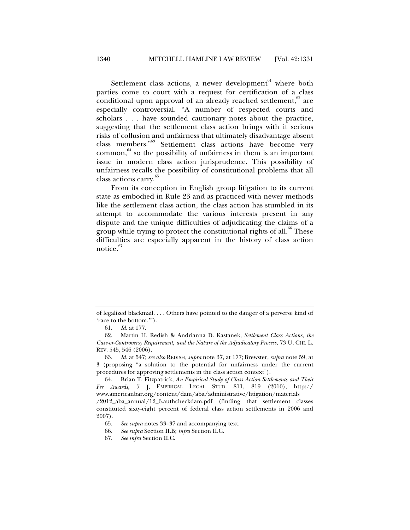Settlement class actions, a newer development $61$  where both parties come to court with a request for certification of a class conditional upon approval of an already reached settlement, $62$  are especially controversial. "A number of respected courts and scholars . . . have sounded cautionary notes about the practice, suggesting that the settlement class action brings with it serious risks of collusion and unfairness that ultimately disadvantage absent class members."63 Settlement class actions have become very common, $64$  so the possibility of unfairness in them is an important issue in modern class action jurisprudence. This possibility of unfairness recalls the possibility of constitutional problems that all class actions carry.<sup>65</sup>

From its conception in English group litigation to its current state as embodied in Rule 23 and as practiced with newer methods like the settlement class action, the class action has stumbled in its attempt to accommodate the various interests present in any dispute and the unique difficulties of adjudicating the claims of a group while trying to protect the constitutional rights of all.<sup>66</sup> These difficulties are especially apparent in the history of class action notice. $67$ 

of legalized blackmail. . . . Others have pointed to the danger of a perverse kind of 'race to the bottom.'").

 <sup>61.</sup> *Id.* at 177.

 <sup>62.</sup> Martin H. Redish & Andrianna D. Kastanek, *Settlement Class Actions, the Case-or-Controversy Requirement, and the Nature of the Adjudicatory Process*, 73 U. CHI. L. REV. 545, 546 (2006).

 <sup>63.</sup> *Id.* at 547; *see also* REDISH, *supra* note 37, at 177; Brewster, *supra* note 59, at 3 (proposing "a solution to the potential for unfairness under the current procedures for approving settlements in the class action context").

 <sup>64.</sup> Brian T. Fitzpatrick, *An Empirical Study of Class Action Settlements and Their Fee Awards*, 7 J. EMPIRICAL LEGAL STUD. 811, 819 (2010), http:// www.americanbar.org/content/dam/aba/administrative/litigation/materials

<sup>/2012</sup>\_aba\_annual/12\_6.authcheckdam.pdf (finding that settlement classes constituted sixty-eight percent of federal class action settlements in 2006 and 2007).

 <sup>65.</sup> *See supra* notes 33–37 and accompanying text.

 <sup>66.</sup> *See supra* Section II.B; *infra* Section II.C.

 <sup>67.</sup> *See infra* Section II.C.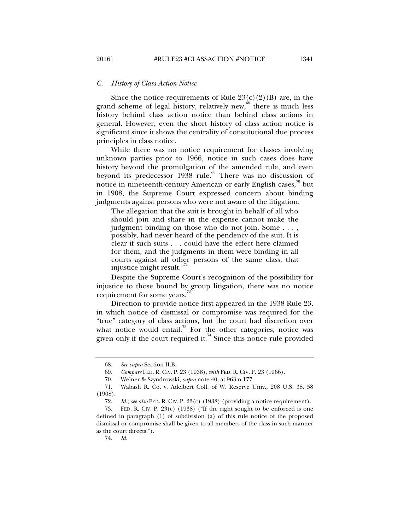#### *C. History of Class Action Notice*

Since the notice requirements of Rule  $23(c)(2)(B)$  are, in the grand scheme of legal history, relatively new,<sup>88</sup> there is much less history behind class action notice than behind class actions in general. However, even the short history of class action notice is significant since it shows the centrality of constitutional due process principles in class notice.

While there was no notice requirement for classes involving unknown parties prior to 1966, notice in such cases does have history beyond the promulgation of the amended rule, and even beyond its predecessor  $1938$  rule.<sup>69</sup> There was no discussion of notice in nineteenth-century American or early English cases,<sup>70</sup> but in 1908, the Supreme Court expressed concern about binding judgments against persons who were not aware of the litigation:

The allegation that the suit is brought in behalf of all who should join and share in the expense cannot make the judgment binding on those who do not join. Some . . . , possibly, had never heard of the pendency of the suit. It is clear if such suits . . . could have the effect here claimed for them, and the judgments in them were binding in all courts against all other persons of the same class, that injustice might result."<sup>71</sup>

Despite the Supreme Court's recognition of the possibility for injustice to those bound by group litigation, there was no notice requirement for some years.

Direction to provide notice first appeared in the 1938 Rule 23, in which notice of dismissal or compromise was required for the "true" category of class actions, but the court had discretion over what notice would entail.<sup>73</sup> For the other categories, notice was given only if the court required it.<sup>74</sup> Since this notice rule provided

74. *Id.*

 <sup>68.</sup> *See supra* Section II.B.

 <sup>69.</sup> *Compare* FED. R. CIV. P. 23 (1938), *with* FED. R. CIV. P. 23 (1966).

 <sup>70.</sup> Weiner & Szyndrowski, *supra* note 40, at 963 n.177.

 <sup>71.</sup> Wabash R. Co. v. Adelbert Coll. of W. Reserve Univ., 208 U.S. 38, 58 (1908).

 <sup>72.</sup> *Id.*; *see also* FED. R. CIV. P. 23(c) (1938) (providing a notice requirement).

 <sup>73.</sup> FED. R. CIV. P. 23(c) (1938) ("If the right sought to be enforced is one defined in paragraph (1) of subdivision (a) of this rule notice of the proposed dismissal or compromise shall be given to all members of the class in such manner as the court directs.").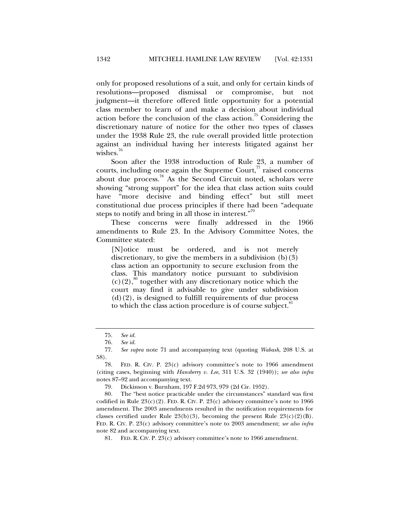only for proposed resolutions of a suit, and only for certain kinds of resolutions—proposed dismissal or compromise, but not judgment—it therefore offered little opportunity for a potential class member to learn of and make a decision about individual action before the conclusion of the class action.<sup>75</sup> Considering the discretionary nature of notice for the other two types of classes under the 1938 Rule 23, the rule overall provided little protection against an individual having her interests litigated against her wishes.<sup>76</sup>

Soon after the 1938 introduction of Rule 23, a number of courts, including once again the Supreme Court, $\pi$  raised concerns about due process.<sup>78</sup> As the Second Circuit noted, scholars were showing "strong support" for the idea that class action suits could have "more decisive and binding effect" but still meet constitutional due process principles if there had been "adequate steps to notify and bring in all those in interest."<sup>9</sup>

These concerns were finally addressed in the 1966 amendments to Rule 23. In the Advisory Committee Notes, the Committee stated:

[N]otice must be ordered, and is not merely discretionary, to give the members in a subdivision  $(b)(3)$ class action an opportunity to secure exclusion from the class. This mandatory notice pursuant to subdivision  $(c)(2)$ ,<sup>80</sup> together with any discretionary notice which the court may find it advisable to give under subdivision  $(d)(2)$ , is designed to fulfill requirements of due process to which the class action procedure is of course subject.<sup>81</sup>

 <sup>75.</sup> *See id.*

 <sup>76.</sup> *See id.*

 <sup>77.</sup> *See supra* note 71 and accompanying text (quoting *Wabash*, 208 U.S. at 58).

<sup>78.</sup> FED. R. CIV. P.  $23(c)$  advisory committee's note to 1966 amendment (citing cases, beginning with *Hansberry v. Lee*, 311 U.S. 32 (1940)); *see also infra* notes 87–92 and accompanying text.

 <sup>79.</sup> Dickinson v. Burnham, 197 F.2d 973, 979 (2d Cir. 1952).

 <sup>80.</sup> The "best notice practicable under the circumstances" standard was first codified in Rule  $23(c)(2)$ . FED. R. CIV. P.  $23(c)$  advisory committee's note to 1966 amendment. The 2003 amendments resulted in the notification requirements for classes certified under Rule  $23(b)(3)$ , becoming the present Rule  $23(c)(2)(B)$ . FED. R. CIV. P. 23(c) advisory committee's note to 2003 amendment; *see also infra*  note 82 and accompanying text.

 <sup>81.</sup> FED. R. CIV. P. 23(c) advisory committee's note to 1966 amendment.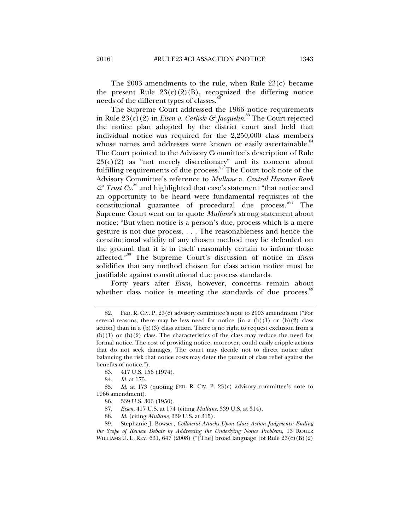The  $2003$  amendments to the rule, when Rule  $23(c)$  became the present Rule  $23(c)(2)(B)$ , recognized the differing notice needs of the different types of classes.

The Supreme Court addressed the 1966 notice requirements in Rule 23(c)(2) in *Eisen v. Carlisle & Jacquelin*. 83 The Court rejected the notice plan adopted by the district court and held that individual notice was required for the 2,250,000 class members whose names and addresses were known or easily ascertainable.<sup>84</sup> The Court pointed to the Advisory Committee's description of Rule  $23(c)(2)$  as "not merely discretionary" and its concern about fulfilling requirements of due process.<sup>85</sup> The Court took note of the Advisory Committee's reference to *Mullane v. Central Hanover Bank*   $\mathcal{F}$  Trust Co.<sup>86</sup> and highlighted that case's statement "that notice and an opportunity to be heard were fundamental requisites of the constitutional guarantee of procedural due process."<sup>87</sup> The Supreme Court went on to quote *Mullane*'s strong statement about notice: "But when notice is a person's due, process which is a mere gesture is not due process. . . . The reasonableness and hence the constitutional validity of any chosen method may be defended on the ground that it is in itself reasonably certain to inform those affected."88 The Supreme Court's discussion of notice in *Eisen* solidifies that any method chosen for class action notice must be justifiable against constitutional due process standards.

Forty years after *Eisen*, however, concerns remain about whether class notice is meeting the standards of due process.<sup>89</sup>

 <sup>82.</sup> FED. R. CIV. P. 23(c) advisory committee's note to 2003 amendment ("For several reasons, there may be less need for notice [in a  $(b)(1)$  or  $(b)(2)$  class action] than in a  $(b)(3)$  class action. There is no right to request exclusion from a  $(b)(1)$  or  $(b)(2)$  class. The characteristics of the class may reduce the need for formal notice. The cost of providing notice, moreover, could easily cripple actions that do not seek damages. The court may decide not to direct notice after balancing the risk that notice costs may deter the pursuit of class relief against the benefits of notice.").

 <sup>83. 417</sup> U.S. 156 (1974).

 <sup>84.</sup> *Id.* at 175.

 <sup>85.</sup> *Id.* at 173 (quoting FED. R. CIV. P. 23(c) advisory committee's note to 1966 amendment).

 <sup>86. 339</sup> U.S. 306 (1950).

 <sup>87.</sup> *Eisen*, 417 U.S. at 174 (citing *Mullane*, 339 U.S. at 314).

 <sup>88.</sup> *Id.* (citing *Mullane*, 339 U.S. at 315).

 <sup>89.</sup> Stephanie J. Bowser, *Collateral Attacks Upon Class Action Judgments: Ending the Scope of Review Debate by Addressing the Underlying Notice Problems*, 13 ROGER WILLIAMS U. L. REV.  $631, 647$  (2008) ("[The] broad language [of Rule  $23(c)(B)(2)$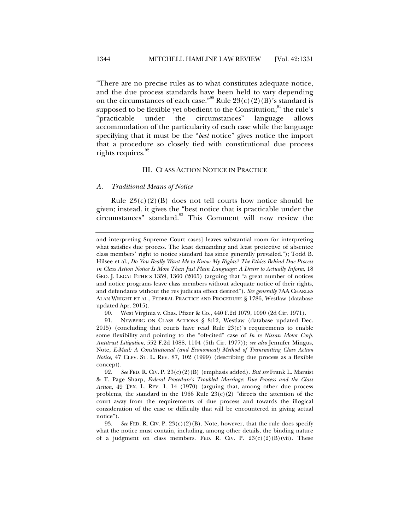"There are no precise rules as to what constitutes adequate notice, and the due process standards have been held to vary depending on the circumstances of each case."<sup>90</sup> Rule  $23(c)(2)(B)$ 's standard is supposed to be flexible yet obedient to the Constitution; $91$ <sup>91</sup> the rule's "practicable under the circumstances" language allows accommodation of the particularity of each case while the language specifying that it must be the "*best* notice" gives notice the import that a procedure so closely tied with constitutional due process rights requires. $^{92}$ 

# III. CLASS ACTION NOTICE IN PRACTICE

#### *A. Traditional Means of Notice*

Rule  $23(c)(2)(B)$  does not tell courts how notice should be given; instead, it gives the "best notice that is practicable under the circumstances" standard.<sup>93</sup> This Comment will now review the

and interpreting Supreme Court cases] leaves substantial room for interpreting what satisfies due process. The least demanding and least protective of absentee class members' right to notice standard has since generally prevailed."); Todd B. Hilsee et al., *Do You Really Want Me to Know My Rights? The Ethics Behind Due Process in Class Action Notice Is More Than Just Plain Language: A Desire to Actually Inform*, 18 GEO. J. LEGAL ETHICS 1359, 1360 (2005) (arguing that "a great number of notices and notice programs leave class members without adequate notice of their rights, and defendants without the res judicata effect desired"). *See generally* 7AA CHARLES ALAN WRIGHT ET AL., FEDERAL PRACTICE AND PROCEDURE § 1786, Westlaw (database updated Apr. 2015).

 <sup>90.</sup> West Virginia v. Chas. Pfizer & Co., 440 F.2d 1079, 1090 (2d Cir. 1971).

 <sup>91.</sup> NEWBERG ON CLASS ACTIONS § 8:12, Westlaw (database updated Dec. 2015) (concluding that courts have read Rule  $23(c)$ 's requirements to enable some flexibility and pointing to the "oft-cited" case of *In re Nissan Motor Corp. Antitrust Litigation*, 552 F.2d 1088, 1104 (5th Cir. 1977)); *see also* Jennifer Mingus, Note, *E-Mail: A Constitutional (and Economical) Method of Transmitting Class Action Notice*, 47 CLEV. ST. L. REV. 87, 102 (1999) (describing due process as a flexible concept).

 <sup>92.</sup> *See* FED. R. CIV. P. 23(c)(2)(B) (emphasis added). *But see* Frank L. Maraist & T. Page Sharp, *Federal Procedure's Troubled Marriage: Due Process and the Class Action*, 49 TEX. L. REV. 1, 14 (1970) (arguing that, among other due process problems, the standard in the 1966 Rule  $23(c)(2)$  "directs the attention of the court away from the requirements of due process and towards the illogical consideration of the ease or difficulty that will be encountered in giving actual notice").

<sup>93.</sup> *See FED. R. CIV. P.*  $23(c)(2)(B)$ . Note, however, that the rule does specify what the notice must contain, including, among other details, the binding nature of a judgment on class members. FED. R. CIV. P.  $23(c)(2)(B)(vi)$ . These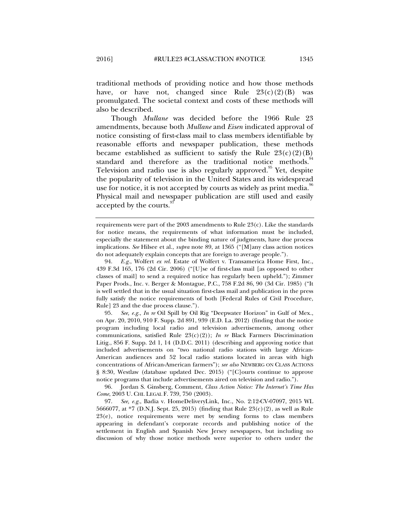traditional methods of providing notice and how those methods have, or have not, changed since Rule  $23(c)(2)(B)$  was promulgated. The societal context and costs of these methods will also be described.

Though *Mullane* was decided before the 1966 Rule 23 amendments, because both *Mullane* and *Eisen* indicated approval of notice consisting of first-class mail to class members identifiable by reasonable efforts and newspaper publication, these methods became established as sufficient to satisfy the Rule  $23(c)(2)(B)$ standard and therefore as the traditional notice methods.<sup>9</sup> Television and radio use is also regularly approved.<sup>95</sup> Yet, despite the popularity of television in the United States and its widespread use for notice, it is not accepted by courts as widely as print media.<sup>96</sup> Physical mail and newspaper publication are still used and easily accepted by the courts.<sup>9</sup>

 94. *E.g.*, Wolfert *ex rel.* Estate of Wolfert v. Transamerica Home First, Inc., 439 F.3d 165, 176 (2d Cir. 2006) ("[U]se of first-class mail [as opposed to other classes of mail] to send a required notice has regularly been upheld."); Zimmer Paper Prods., Inc. v. Berger & Montague, P.C., 758 F.2d 86, 90 (3d Cir. 1985) ("It is well settled that in the usual situation first-class mail and publication in the press fully satisfy the notice requirements of both [Federal Rules of Civil Procedure, Rule] 23 and the due process clause.").

 95. *See, e.g.*, *In re* Oil Spill by Oil Rig "Deepwater Horizon" in Gulf of Mex., on Apr. 20, 2010, 910 F. Supp. 2d 891, 939 (E.D. La. 2012) (finding that the notice program including local radio and television advertisements, among other communications, satisfied Rule  $23(c)(2)$ ; *In re* Black Farmers Discrimination Litig., 856 F. Supp. 2d 1, 14 (D.D.C. 2011) (describing and approving notice that included advertisements on "two national radio stations with large African-American audiences and 52 local radio stations located in areas with high concentrations of African-American farmers"); *see also* NEWBERG ON CLASS ACTIONS § 8:30, Westlaw (database updated Dec. 2015) ("[C]ourts continue to approve notice programs that include advertisements aired on television and radio.").

 96. Jordan S. Ginsberg, Comment, *Class Action Notice: The Internet's Time Has Come*, 2003 U. CHI. LEGAL F. 739, 750 (2003).

 97. *See, e.g.*, Badia v. HomeDeliveryLink, Inc., No. 2:12-CV-07097, 2015 WL 5666077, at \*7 (D.N.J. Sept. 25, 2015) (finding that Rule 23(c)(2), as well as Rule 23(e), notice requirements were met by sending forms to class members appearing in defendant's corporate records and publishing notice of the settlement in English and Spanish New Jersey newspapers, but including no discussion of why those notice methods were superior to others under the

requirements were part of the 2003 amendments to Rule  $23(c)$ . Like the standards for notice means, the requirements of what information must be included, especially the statement about the binding nature of judgments, have due process implications. *See* Hilsee et al., *supra* note 89, at 1365 ("[M]any class action notices do not adequately explain concepts that are foreign to average people.").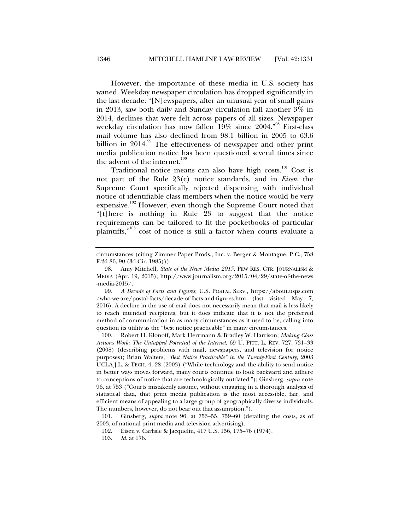However, the importance of these media in U.S. society has waned. Weekday newspaper circulation has dropped significantly in the last decade: "[N]ewspapers, after an unusual year of small gains in 2013, saw both daily and Sunday circulation fall another 3% in 2014, declines that were felt across papers of all sizes. Newspaper weekday circulation has now fallen 19% since 2004."<sup>98</sup> First-class mail volume has also declined from 98.1 billion in 2005 to 63.6 billion in  $2014$ .<sup>99</sup> The effectiveness of newspaper and other print media publication notice has been questioned several times since the advent of the internet.<sup>100</sup>

Traditional notice means can also have high costs.<sup>101</sup> Cost is not part of the Rule 23(c) notice standards, and in *Eisen*, the Supreme Court specifically rejected dispensing with individual notice of identifiable class members when the notice would be very expensive.<sup>102</sup> However, even though the Supreme Court noted that "[t]here is nothing in Rule 23 to suggest that the notice requirements can be tailored to fit the pocketbooks of particular plaintiffs,"103 cost of notice is still a factor when courts evaluate a

 99. *A Decade of Facts and Figures*, U.S. POSTAL SERV., https://about.usps.com /who-we-are/postal-facts/decade-of-facts-and-figures.htm (last visited May 7, 2016). A decline in the use of mail does not necessarily mean that mail is less likely to reach intended recipients, but it does indicate that it is not the preferred method of communication in as many circumstances as it used to be, calling into question its utility as the "best notice practicable" in many circumstances.

 100. Robert H. Klonoff, Mark Herrmann & Bradley W. Harrison, *Making Class Actions Work: The Untapped Potential of the Internet*, 69 U. PITT. L. REV. 727, 731–33 (2008) (describing problems with mail, newspapers, and television for notice purposes); Brian Walters, *"Best Notice Practicable" in the Twenty-First Century*, 2003 UCLA J.L. & TECH. 4, 28 (2003) ("While technology and the ability to send notice in better ways moves forward, many courts continue to look backward and adhere to conceptions of notice that are technologically outdated."); Ginsberg, *supra* note 96, at 753 ("Courts mistakenly assume, without engaging in a thorough analysis of statistical data, that print media publication is the most accessible, fair, and efficient means of appealing to a large group of geographically diverse individuals. The numbers, however, do not bear out that assumption.").

 101. Ginsberg, *supra* note 96, at 753–55, 759–60 (detailing the costs, as of 2003, of national print media and television advertising).

102. Eisen v. Carlisle & Jacquelin, 417 U.S. 156, 175–76 (1974).

103. *Id.* at 176.

circumstances (citing Zimmer Paper Prods., Inc. v. Berger & Montague, P.C., 758 F.2d 86, 90 (3d Cir. 1985))).

 <sup>98.</sup> Amy Mitchell, *State of the News Media 2015*, PEW RES. CTR. JOURNALISM & MEDIA (Apr. 19, 2015), http://www.journalism.org/2015/04/29/state-of-the-news -media-2015/.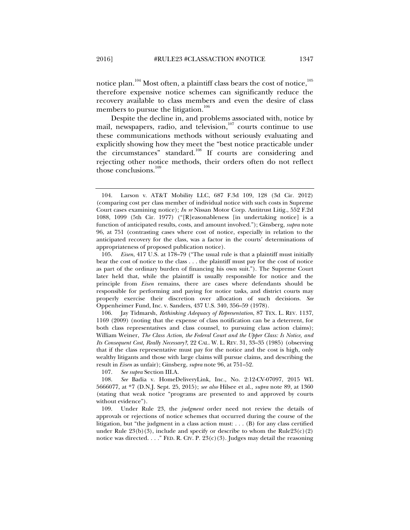notice plan.<sup>104</sup> Most often, a plaintiff class bears the cost of notice,<sup>105</sup> therefore expensive notice schemes can significantly reduce the recovery available to class members and even the desire of class members to pursue the litigation.<sup>106</sup>

Despite the decline in, and problems associated with, notice by mail, newspapers, radio, and television, $107$  courts continue to use these communications methods without seriously evaluating and explicitly showing how they meet the "best notice practicable under the circumstances" standard.<sup>108</sup> If courts are considering and rejecting other notice methods, their orders often do not reflect those conclusions.<sup>109</sup>

 106. Jay Tidmarsh, *Rethinking Adequacy of Representation*, 87 TEX. L. REV. 1137, 1169 (2009) (noting that the expense of class notification can be a deterrent, for both class representatives and class counsel, to pursuing class action claims); William Weiner, *The Class Action, the Federal Court and the Upper Class: Is Notice, and Its Consequent Cost, Really Necessary?*, 22 CAL. W. L. REV. 31, 33–35 (1985) (observing that if the class representative must pay for the notice and the cost is high, only wealthy litigants and those with large claims will pursue claims, and describing the result in *Eisen* as unfair); Ginsberg, *supra* note 96, at 751–52.

107. *See supra* Section III.A*.* 

 <sup>104.</sup> Larson v. AT&T Mobility LLC, 687 F.3d 109, 128 (3d Cir. 2012) (comparing cost per class member of individual notice with such costs in Supreme Court cases examining notice); *In re* Nissan Motor Corp. Antitrust Litig., 552 F.2d 1088, 1099 (5th Cir. 1977) ("[R]easonableness [in undertaking notice] is a function of anticipated results, costs, and amount involved."); Ginsberg, *supra* note 96, at 751 (contrasting cases where cost of notice, especially in relation to the anticipated recovery for the class, was a factor in the courts' determinations of appropriateness of proposed publication notice).

 <sup>105.</sup> *Eisen*, 417 U.S. at 178–79 ("The usual rule is that a plaintiff must initially bear the cost of notice to the class . . . the plaintiff must pay for the cost of notice as part of the ordinary burden of financing his own suit."). The Supreme Court later held that, while the plaintiff is usually responsible for notice and the principle from *Eisen* remains, there are cases where defendants should be responsible for performing and paying for notice tasks, and district courts may properly exercise their discretion over allocation of such decisions. *See* Oppenheimer Fund, Inc. v. Sanders, 437 U.S. 340, 356–59 (1978).

 <sup>108.</sup> *See* Badia v. HomeDeliveryLink, Inc., No. 2:12-CV-07097, 2015 WL 5666077, at \*7 (D.N.J. Sept. 25, 2015); *see also* Hilsee et al., *supra* note 89, at 1360 (stating that weak notice "programs are presented to and approved by courts without evidence").

 <sup>109.</sup> Under Rule 23, the *judgment* order need not review the details of approvals or rejections of notice schemes that occurred during the course of the litigation, but "the judgment in a class action must:  $\dots$  (B) for any class certified under Rule  $23(b)(3)$ , include and specify or describe to whom the Rule  $23(c)(2)$ notice was directed. . . . " FED. R. CIV. P.  $23(c)(3)$ . Judges may detail the reasoning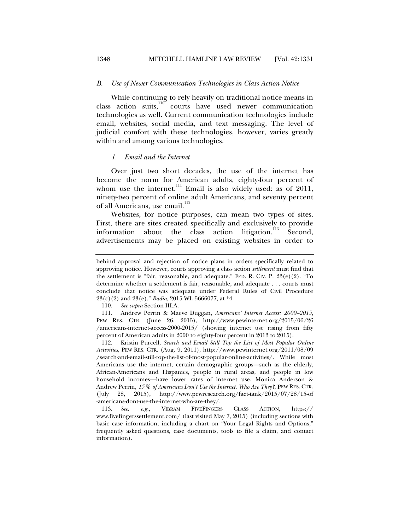### *B. Use of Newer Communication Technologies in Class Action Notice*

While continuing to rely heavily on traditional notice means in class action suits, $110^\circ$  courts have used newer communication technologies as well. Current communication technologies include email, websites, social media, and text messaging. The level of judicial comfort with these technologies, however, varies greatly within and among various technologies.

#### *1. Email and the Internet*

Over just two short decades, the use of the internet has become the norm for American adults, eighty-four percent of whom use the internet. $^{111}$  Email is also widely used: as of 2011, ninety-two percent of online adult Americans, and seventy percent of all Americans, use email.<sup>112</sup>

Websites, for notice purposes, can mean two types of sites. First, there are sites created specifically and exclusively to provide information about the class action litigation.<sup>113</sup> Second, advertisements may be placed on existing websites in order to

110. *See supra* Section III.A.

 111. Andrew Perrin & Maeve Duggan, *Americans' Internet Access: 2000–2015*, PEW RES. CTR. (June 26, 2015), http://www.pewinternet.org/2015/06/26 /americans-internet-access-2000-2015/ (showing internet use rising from fifty percent of American adults in 2000 to eighty-four percent in 2013 to 2015).

 112. Kristin Purcell, *Search and Email Still Top the List of Most Popular Online Activities*, PEW RES. CTR. (Aug. 9, 2011), http://www.pewinternet.org/2011/08/09 /search-and-email-still-top-the-list-of-most-popular-online-activities/. While most Americans use the internet, certain demographic groups—such as the elderly, African-Americans and Hispanics, people in rural areas, and people in low household incomes—have lower rates of internet use. Monica Anderson & Andrew Perrin, *15% of Americans Don't Use the Internet. Who Are They?*, PEW RES. CTR. (July 28, 2015), http://www.pewresearch.org/fact-tank/2015/07/28/15-of -americans-dont-use-the-internet-who-are-they/.

 113. *See, e.g.*, VIBRAM FIVEFINGERS CLASS ACTION, https:// www.fivefingerssettlement.com/ (last visited May 7, 2015) (including sections with basic case information, including a chart on "Your Legal Rights and Options," frequently asked questions, case documents, tools to file a claim, and contact information).

behind approval and rejection of notice plans in orders specifically related to approving notice. However, courts approving a class action *settlement* must find that the settlement is "fair, reasonable, and adequate." FED. R. CIV. P.  $23(e)(2)$ . "To determine whether a settlement is fair, reasonable, and adequate . . . courts must conclude that notice was adequate under Federal Rules of Civil Procedure 23(c)(2) and 23(e)." *Badia*, 2015 WL 5666077, at \*4.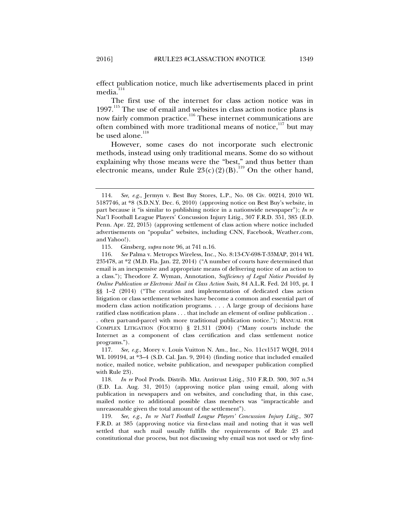effect publication notice, much like advertisements placed in print media.<sup>114</sup>

The first use of the internet for class action notice was in  $1997<sup>115</sup>$  The use of email and websites in class action notice plans is now fairly common practice.116 These internet communications are often combined with more traditional means of notice, $117$  but may be used alone. $118$ 

However, some cases do not incorporate such electronic methods, instead using only traditional means. Some do so without explaining why those means were the "best," and thus better than electronic means, under Rule  $23(c)(2)(B)$ .<sup>119</sup> On the other hand,

 117. *See, e.g.*, Morey v. Louis Vuitton N. Am., Inc., No. 11cv1517 WQH, 2014 WL 109194, at \*3–4 (S.D. Cal. Jan. 9, 2014) (finding notice that included emailed notice, mailed notice, website publication, and newspaper publication complied with Rule 23).

 118. *In re* Pool Prods. Distrib. Mkt. Antitrust Litig., 310 F.R.D. 300, 307 n.34 (E.D. La. Aug. 31, 2015) (approving notice plan using email, along with publication in newspapers and on websites, and concluding that, in this case, mailed notice to additional possible class members was "impracticable and unreasonable given the total amount of the settlement").

 119. *See, e.g.*, *In re Nat'l Football League Players' Concussion Injury Litig.*, 307 F.R.D. at 385 (approving notice via first-class mail and noting that it was well settled that such mail usually fulfills the requirements of Rule 23 and constitutional due process, but not discussing why email was not used or why first-

 <sup>114.</sup> *See, e.g.*, Jermyn v. Best Buy Stores, L.P., No. 08 Civ. 00214, 2010 WL 5187746, at \*8 (S.D.N.Y. Dec. 6, 2010) (approving notice on Best Buy's website, in part because it "is similar to publishing notice in a nationwide newspaper"); *In re*  Nat'l Football League Players' Concussion Injury Litig., 307 F.R.D. 351, 385 (E.D. Penn. Apr. 22, 2015) (approving settlement of class action where notice included advertisements on "popular" websites, including CNN, Facebook, Weather.com, and Yahoo!).

 <sup>115.</sup> Ginsberg, *supra* note 96, at 741 n.16.

 <sup>116.</sup> *See* Palma v. Metropcs Wireless, Inc., No. 8:13-CV-698-T-33MAP, 2014 WL 235478, at \*2 (M.D. Fla. Jan. 22, 2014) ("A number of courts have determined that email is an inexpensive and appropriate means of delivering notice of an action to a class."); Theodore Z. Wyman, Annotation, *Sufficiency of Legal Notice Provided by Online Publication or Electronic Mail in Class Action Suits*, 84 A.L.R. Fed. 2d 103, pt. I §§ 1–2 (2014) ("The creation and implementation of dedicated class action litigation or class settlement websites have become a common and essential part of modern class action notification programs. . . . A large group of decisions have ratified class notification plans . . . that include an element of online publication . . . often part-and-parcel with more traditional publication notice."); MANUAL FOR COMPLEX LITIGATION (FOURTH) § 21.311 (2004) ("Many courts include the Internet as a component of class certification and class settlement notice programs.").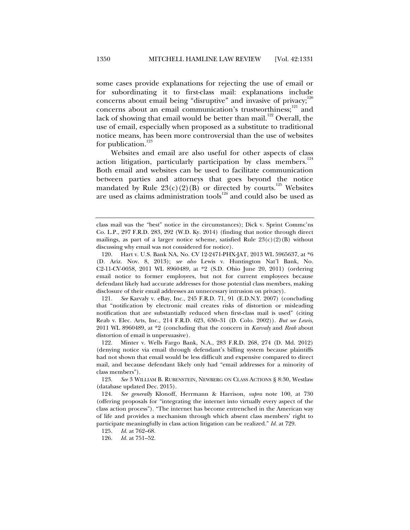some cases provide explanations for rejecting the use of email or for subordinating it to first-class mail: explanations include concerns about email being "disruptive" and invasive of privacy;<sup>120</sup> concerns about an email communication's trustworthiness;<sup>121</sup> and lack of showing that email would be better than mail.<sup>122</sup> Overall, the use of email, especially when proposed as a substitute to traditional notice means, has been more controversial than the use of websites for publication.<sup>123</sup>

Websites and email are also useful for other aspects of class action litigation, particularly participation by class members.<sup>124</sup> Both email and websites can be used to facilitate communication between parties and attorneys that goes beyond the notice mandated by Rule  $23(c)(2)(B)$  or directed by courts.<sup>125</sup> Websites are used as claims administration tools $126$  and could also be used as

class mail was the "best" notice in the circumstances); Dick v. Sprint Commc'ns Co. L.P., 297 F.R.D. 283, 292 (W.D. Ky. 2014) (finding that notice through direct mailings, as part of a larger notice scheme, satisfied Rule  $23(c)(2)(B)$  without discussing why email was not considered for notice).

 <sup>120.</sup> Hart v. U.S. Bank NA, No. CV 12-2471-PHX-JAT, 2013 WL 5965637, at \*6 (D. Ariz. Nov. 8, 2013); *see also* Lewis v. Huntington Nat'l Bank, No. C2-11-CV-0058, 2011 WL 8960489, at \*2 (S.D. Ohio June 20, 2011) (ordering email notice to former employees, but not for current employees because defendant likely had accurate addresses for those potential class members, making disclosure of their email addresses an unnecessary intrusion on privacy).

 <sup>121.</sup> *See* Karvaly v. eBay, Inc., 245 F.R.D. 71, 91 (E.D.N.Y. 2007) (concluding that "notification by electronic mail creates risks of distortion or misleading notification that are substantially reduced when first-class mail is used" (citing Reab v. Elec. Arts, Inc., 214 F.R.D. 623, 630–31 (D. Colo. 2002)). *But see Lewis*, 2011 WL 8960489, at \*2 (concluding that the concern in *Karvaly* and *Reab* about distortion of email is unpersuasive).

 <sup>122.</sup> Minter v. Wells Fargo Bank, N.A., 283 F.R.D. 268, 274 (D. Md. 2012) (denying notice via email through defendant's billing system because plaintiffs had not shown that email would be less difficult and expensive compared to direct mail, and because defendant likely only had "email addresses for a minority of class members").

 <sup>123.</sup> *See* 3 WILLIAM B. RUBENSTEIN, NEWBERG ON CLASS ACTIONS § 8:30, Westlaw (database updated Dec. 2015).

 <sup>124.</sup> *See generally* Klonoff, Herrmann & Harrison, *supra* note 100, at 730 (offering proposals for "integrating the internet into virtually every aspect of the class action process"). "The internet has become entrenched in the American way of life and provides a mechanism through which absent class members' right to participate meaningfully in class action litigation can be realized." *Id.* at 729.

 <sup>125.</sup> *Id.* at 762–68.

 <sup>126.</sup> *Id.* at 751–52.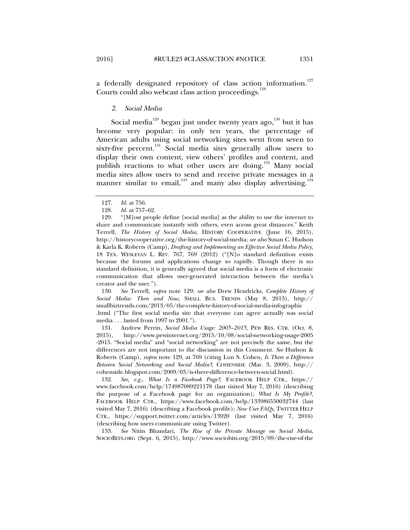a federally designated repository of class action information.<sup>127</sup> Courts could also webcast class action proceedings.<sup>12</sup>

### *2. Social Media*

Social media<sup>129</sup> began just under twenty years ago,<sup>130</sup> but it has become very popular: in only ten years, the percentage of American adults using social networking sites went from seven to sixty-five percent.<sup>131</sup> Social media sites generally allow users to display their own content, view others' profiles and content, and publish reactions to what other users are doing.<sup>132</sup> Many social media sites allow users to send and receive private messages in a manner similar to email, $133$  and many also display advertising.<sup>134</sup>

 130. *See* Terrell, *supra* note 129; *see also* Drew Hendricks, *Complete History of Social Media: Then and Now*, SMALL BUS. TRENDS (May 8, 2013), http:// smallbiztrends.com/2013/05/the-complete-history-of-social-media-infographic

.html ("The first social media site that everyone can agree actually was social media . . . lasted from 1997 to 2001.").

 131. Andrew Perrin, *Social Media Usage: 2005–2015*, PEW RES. CTR. (Oct. 8, 2015), http://www.pewinternet.org/2015/10/08/social-networking-usage-2005 -2015. "Social media" and "social networking" are not precisely the same, but the differences are not important to the discussion in this Comment. *See* Hudson & Roberts (Camp), *supra* note 129, at 769 (citing Lon S. Cohen*, Is There a Difference Between Social Networking and Social Media?*, COHENSIDE (Mar. 3, 2009), http:// cohenside.blogspot.com/2009/03/is-there-difference-between-social.html).

 132. *See, e.g.*, *What Is a Facebook Page?*, FACEBOOK HELP CTR., https:// www.facebook.com/help/174987089221178 (last visited May 7, 2016) (describing the purpose of a Facebook page for an organization); *What Is My Profile?*, FACEBOOK HELP CTR., https://www.facebook.com/help/133986550032744 (last visited May 7, 2016) (describing a Facebook profile); *New User FAQs*, TWITTER HELP CTR., https://support.twitter.com/articles/13920 (last visited May 7, 2016) (describing how users communicate using Twitter).

 133. *See* Nitin Bhandari, *The Rise of the Private Message on Social Media*, SOCIOBITS.ORG (Sept. 6, 2015), http://www.sociobits.org/2015/09/the-rise-of-the

 <sup>127.</sup> *Id.* at 756.

 <sup>128.</sup> *Id.* at 757–62.

 <sup>129. &</sup>quot;[M]ost people define [social media] as the ability to use the internet to share and communicate instantly with others, even across great distances." Keith Terrell, *The History of Social Media*, HISTORY COOPERATIVE (June 16, 2015), http://historycooperative.org/the-history-of-social-media; *see also* Susan C. Hudson & Karla K. Roberts (Camp), *Drafting and Implementing an Effective Social Media Policy*, 18 TEX. WESLEYAN L. REV. 767, 769 (2012) ("[N]o standard definition exists because the forums and applications change so rapidly. Though there is no standard definition, it is generally agreed that social media is a form of electronic communication that allows user-generated interaction between the media's creator and the user.").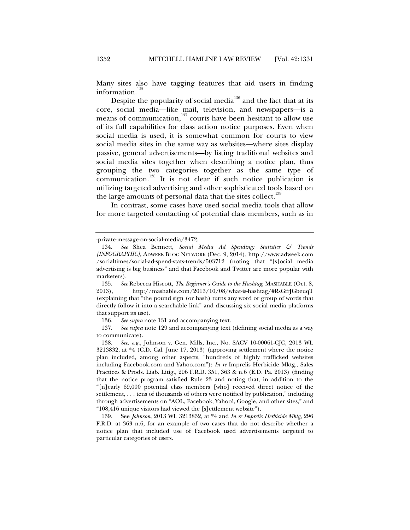Many sites also have tagging features that aid users in finding information.<sup>1</sup>

Despite the popularity of social media<sup>136</sup> and the fact that at its core, social media—like mail, television, and newspapers—is a means of communication, $137$  courts have been hesitant to allow use of its full capabilities for class action notice purposes. Even when social media is used, it is somewhat common for courts to view social media sites in the same way as websites—where sites display passive, general advertisements—by listing traditional websites and social media sites together when describing a notice plan, thus grouping the two categories together as the same type of communication.<sup>138</sup> It is not clear if such notice publication is utilizing targeted advertising and other sophisticated tools based on the large amounts of personal data that the sites collect.<sup>139</sup>

In contrast, some cases have used social media tools that allow for more targeted contacting of potential class members, such as in

136. *See supra* note 131 and accompanying text.

 137. *See supra* note 129 and accompanying text (defining social media as a way to communicate).

 138. *See, e.g.*, Johnson v. Gen. Mills, Inc., No. SACV 10-00061-CJC, 2013 WL 3213832, at \*4 (C.D. Cal. June 17, 2013) (approving settlement where the notice plan included, among other aspects, "hundreds of highly trafficked websites including Facebook.com and Yahoo.com"); *In re* Imprelis Herbicide Mktg., Sales Practices & Prods. Liab. Litig., 296 F.R.D. 351, 363 & n.6 (E.D. Pa. 2013) (finding that the notice program satisfied Rule 23 and noting that, in addition to the "[n]early 69,000 potential class members [who] received direct notice of the settlement, . . . tens of thousands of others were notified by publication," including through advertisements on "AOL, Facebook, Yahoo!, Google, and other sites," and "108,416 unique visitors had viewed the [s]ettlement website").

 139. See *Johnson*, 2013 WL 3213832, at \*4 and *In re Imprelis Herbicide Mktg*, 296 F.R.D. at 363 n.6, for an example of two cases that do not describe whether a notice plan that included use of Facebook used advertisements targeted to particular categories of users.

<sup>-</sup>private-message-on-social-media/3472.

 <sup>134.</sup> *See* Shea Bennett, *Social Media Ad Spending: Statistics & Trends [INFOGRAPHIC]*, ADWEEK BLOG NETWORK (Dec. 9, 2014), http://www.adweek.com /socialtimes/social-ad-spend-stats-trends/503712 (noting that "[s]ocial media advertising is big business" and that Facebook and Twitter are more popular with marketers).

 <sup>135.</sup> *See* Rebecca Hiscott, *The Beginner's Guide to the Hashtag*, MASHABLE (Oct. 8, 2013), http://mashable.com/2013/10/08/what-is-hashtag/#RsGfrJGbeuqT (explaining that "the pound sign (or hash) turns any word or group of words that directly follow it into a searchable link" and discussing six social media platforms that support its use).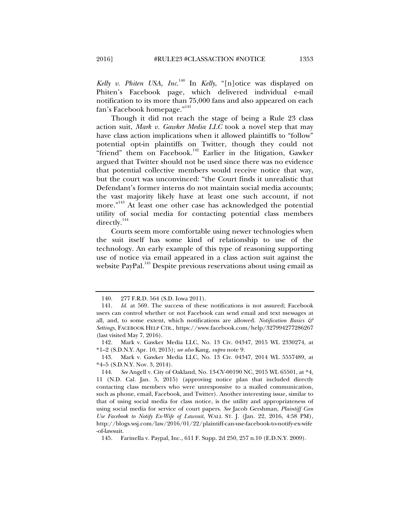*Kelly v. Phiten USA, Inc*. 140 In *Kelly*, "[n]otice was displayed on Phiten's Facebook page, which delivered individual e-mail notification to its more than 75,000 fans and also appeared on each fan's Facebook homepage."<sup>141</sup>

Though it did not reach the stage of being a Rule 23 class action suit, *Mark v. Gawker Media LLC* took a novel step that may have class action implications when it allowed plaintiffs to "follow" potential opt-in plaintiffs on Twitter, though they could not "friend" them on Facebook.<sup>142</sup> Earlier in the litigation, Gawker argued that Twitter should not be used since there was no evidence that potential collective members would receive notice that way, but the court was unconvinced: "the Court finds it unrealistic that Defendant's former interns do not maintain social media accounts; the vast majority likely have at least one such account, if not more."143 At least one other case has acknowledged the potential utility of social media for contacting potential class members directly.<sup>144</sup>

Courts seem more comfortable using newer technologies when the suit itself has some kind of relationship to use of the technology. An early example of this type of reasoning supporting use of notice via email appeared in a class action suit against the website PayPal.<sup>145</sup> Despite previous reservations about using email as

 <sup>140. 277</sup> F.R.D. 564 (S.D. Iowa 2011).

 <sup>141.</sup> *Id.* at 569. The success of these notifications is not assured; Facebook users can control whether or not Facebook can send email and text messages at all, and, to some extent, which notifications are allowed. *Notification Basics & Settings*, FACEBOOK HELP CTR., https://www.facebook.com/help/327994277286267 (last visited May 7, 2016).

 <sup>142.</sup> Mark v. Gawker Media LLC, No. 13 Civ. 04347, 2015 WL 2330274, at \*1–2 (S.D.N.Y. Apr. 10, 2015); *see also* Kang, *supra* note 9.

 <sup>143.</sup> Mark v. Gawker Media LLC, No. 13 Civ. 04347, 2014 WL 5557489, at \*4–5 (S.D.N.Y. Nov. 3, 2014).

 <sup>144.</sup> *See* Angell v. City of Oakland, No. 13-CV-00190 NC, 2015 WL 65501, at \*4, 11 (N.D. Cal. Jan. 5, 2015) (approving notice plan that included directly contacting class members who were unresponsive to a mailed communication, such as phone, email, Facebook, and Twitter). Another interesting issue, similar to that of using social media for class notice, is the utility and appropriateness of using social media for service of court papers. *See* Jacob Gershman, *Plaintiff Can Use Facebook to Notify Ex-Wife of Lawsuit*, WALL ST. J. (Jan. 22, 2016, 4:58 PM), http://blogs.wsj.com/law/2016/01/22/plaintiff-can-use-facebook-to-notify-ex-wife -of-lawsuit.

 <sup>145.</sup> Farinella v. Paypal, Inc., 611 F. Supp. 2d 250, 257 n.10 (E.D.N.Y. 2009).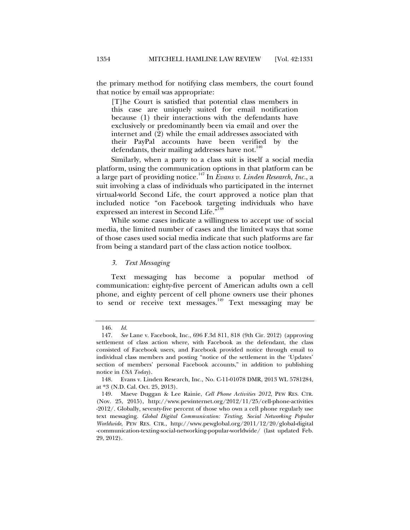the primary method for notifying class members, the court found that notice by email was appropriate:

[T]he Court is satisfied that potential class members in this case are uniquely suited for email notification because (1) their interactions with the defendants have exclusively or predominantly been via email and over the internet and (2) while the email addresses associated with their PayPal accounts have been verified by the defendants, their mailing addresses have not.<sup>140</sup>

Similarly, when a party to a class suit is itself a social media platform, using the communication options in that platform can be a large part of providing notice.147 In *Evans v. Linden Research, Inc.*, a suit involving a class of individuals who participated in the internet virtual-world Second Life, the court approved a notice plan that included notice "on Facebook targeting individuals who have expressed an interest in Second Life."<sup>148</sup>

While some cases indicate a willingness to accept use of social media, the limited number of cases and the limited ways that some of those cases used social media indicate that such platforms are far from being a standard part of the class action notice toolbox.

#### *3. Text Messaging*

Text messaging has become a popular method communication: eighty-five percent of American adults own a cell phone, and eighty percent of cell phone owners use their phones to send or receive text messages.<sup>149</sup> Text messaging may be

 <sup>146.</sup> *Id.* 

 <sup>147.</sup> *See* Lane v. Facebook, Inc., 696 F.3d 811, 818 (9th Cir. 2012) (approving settlement of class action where, with Facebook as the defendant, the class consisted of Facebook users, and Facebook provided notice through email to individual class members and posting "notice of the settlement in the 'Updates' section of members' personal Facebook accounts," in addition to publishing notice in *USA Today*).

 <sup>148.</sup> Evans v. Linden Research, Inc., No. C-11-01078 DMR, 2013 WL 5781284, at \*3 (N.D. Cal. Oct. 25, 2013).

 <sup>149.</sup> Maeve Duggan & Lee Rainie, *Cell Phone Activities 2012*, PEW RES. CTR. (Nov. 25, 2015), http://www.pewinternet.org/2012/11/25/cell-phone-activities -2012/. Globally, seventy-five percent of those who own a cell phone regularly use text messaging. *Global Digital Communication: Texting, Social Networking Popular Worldwide*, PEW RES. CTR., http://www.pewglobal.org/2011/12/20/global-digital -communication-texting-social-networking-popular-worldwide/ (last updated Feb. 29, 2012).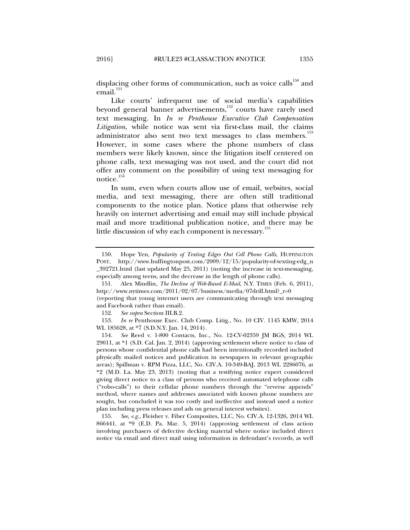displacing other forms of communication, such as voice calls<sup>150</sup> and email.<sup>151</sup>

Like courts' infrequent use of social media's capabilities beyond general banner advertisements,<sup>152</sup> courts have rarely used text messaging. In *In re Penthouse Executive Club Compensation Litigation*, while notice was sent via first-class mail, the claims administrator also sent two text messages to class members.<sup>153</sup> However, in some cases where the phone numbers of class members were likely known, since the litigation itself centered on phone calls, text messaging was not used, and the court did not offer any comment on the possibility of using text messaging for notice.<sup>154</sup>

In sum, even when courts allow use of email, websites, social media, and text messaging, there are often still traditional components to the notice plan. Notice plans that otherwise rely heavily on internet advertising and email may still include physical mail and more traditional publication notice, and there may be little discussion of why each component is necessary.<sup>155</sup>

 155. *See, e.g.*, Fleisher v. Fiber Composites, LLC, No. CIV.A. 12-1326, 2014 WL 866441, at \*9 (E.D. Pa. Mar. 5, 2014) (approving settlement of class action involving purchasers of defective decking material where notice included direct notice via email and direct mail using information in defendant's records, as well

 <sup>150.</sup> Hope Yen, *Popularity of Texting Edges Out Cell Phone Calls*, HUFFINGTON POST, http://www.huffingtonpost.com/2009/12/15/popularity-of-texting-edg\_n \_392721.html (last updated May 25, 2011) (noting the increase in text-messaging, especially among teens, and the decrease in the length of phone calls).

 <sup>151.</sup> Alex Mindlin, *The Decline of Web-Based E-Mail*, N.Y. TIMES (Feb. 6, 2011), http://www.nytimes.com/2011/02/07/business/media/07drill.html?\_r=0

<sup>(</sup>reporting that young internet users are communicating through text messaging and Facebook rather than email).

 <sup>152.</sup> *See supra* Section III.B.2.

 <sup>153.</sup> *In re* Penthouse Exec. Club Comp. Litig., No. 10 CIV. 1145 KMW, 2014 WL 185628, at \*7 (S.D.N.Y. Jan. 14, 2014).

 <sup>154.</sup> *See* Reed v. 1-800 Contacts, Inc., No. 12-CV-02359 JM BGS, 2014 WL 29011, at \*1 (S.D. Cal. Jan. 2, 2014) (approving settlement where notice to class of persons whose confidential phone calls had been intentionally recorded included physically mailed notices and publication in newspapers in relevant geographic areas); Spillman v. RPM Pizza, LLC, No. CIV.A. 10-349-BAJ, 2013 WL 2286076, at \*2 (M.D. La. May 23, 2013) (noting that a testifying notice expert considered giving direct notice to a class of persons who received automated telephone calls ("robo-calls") to their cellular phone numbers through the "reverse appends" method, where names and addresses associated with known phone numbers are sought, but concluded it was too costly and ineffective and instead used a notice plan including press releases and ads on general interest websites).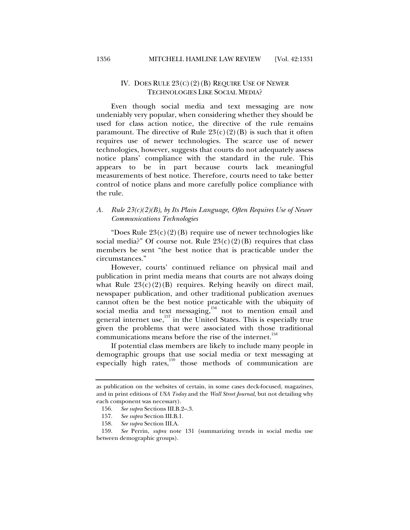# IV. DOES RULE  $23(C)(2)(B)$  REQUIRE USE OF NEWER TECHNOLOGIES LIKE SOCIAL MEDIA?

Even though social media and text messaging are now undeniably very popular, when considering whether they should be used for class action notice, the directive of the rule remains paramount. The directive of Rule  $23(c)(2)(B)$  is such that it often requires use of newer technologies. The scarce use of newer technologies, however, suggests that courts do not adequately assess notice plans' compliance with the standard in the rule. This appears to be in part because courts lack meaningful measurements of best notice. Therefore, courts need to take better control of notice plans and more carefully police compliance with the rule.

# *A. Rule 23(c)(2)(B), by Its Plain Language, Often Requires Use of Newer Communications Technologies*

"Does Rule  $23(c)(2)(B)$  require use of newer technologies like social media?" Of course not. Rule  $23(c)(2)(B)$  requires that class members be sent "the best notice that is practicable under the circumstances."

However, courts' continued reliance on physical mail and publication in print media means that courts are not always doing what Rule  $23(c)(2)(B)$  requires. Relying heavily on direct mail, newspaper publication, and other traditional publication avenues cannot often be the best notice practicable with the ubiquity of social media and text messaging, $\frac{1}{156}$  not to mention email and general internet use, $157$  in the United States. This is especially true given the problems that were associated with those traditional communications means before the rise of the internet.<sup>158</sup>

If potential class members are likely to include many people in demographic groups that use social media or text messaging at especially high rates,<sup>159</sup> those methods of communication are

as publication on the websites of certain, in some cases deck-focused, magazines, and in print editions of *USA Today* and the *Wall Street Journal*, but not detailing why each component was necessary).

 <sup>156.</sup> *See supra* Sections III.B.2–.3.

 <sup>157.</sup> *See supra* Section III.B.1.

 <sup>158.</sup> *See supra* Section III.A.

 <sup>159.</sup> *See* Perrin, *supra* note 131 (summarizing trends in social media use between demographic groups).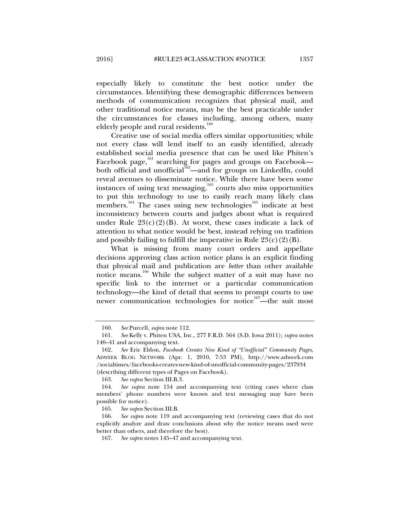especially likely to constitute the best notice under the circumstances. Identifying these demographic differences between methods of communication recognizes that physical mail, and other traditional notice means, may be the best practicable under the circumstances for classes including, among others, many elderly people and rural residents.<sup>160</sup>

Creative use of social media offers similar opportunities; while not every class will lend itself to an easily identified, already established social media presence that can be used like Phiten's Facebook page,<sup>161</sup> searching for pages and groups on Facebook both official and unofficial<sup>162</sup>—and for groups on LinkedIn, could reveal avenues to disseminate notice. While there have been some instances of using text messaging, $163$  courts also miss opportunities to put this technology to use to easily reach many likely class members.<sup>164</sup> The cases using new technologies<sup>165</sup> indicate at best inconsistency between courts and judges about what is required under Rule  $23(c)(2)(B)$ . At worst, these cases indicate a lack of attention to what notice would be best, instead relying on tradition and possibly failing to fulfill the imperative in Rule  $23(c)(2)(B)$ .

What is missing from many court orders and appellate decisions approving class action notice plans is an explicit finding that physical mail and publication are *better* than other available notice means.<sup>166</sup> While the subject matter of a suit may have no specific link to the internet or a particular communication technology—the kind of detail that seems to prompt courts to use newer communication technologies for notice<sup>167</sup>—the suit most

 <sup>160.</sup> *See* Purcell, *supra* note 112.

 <sup>161.</sup> *See* Kelly v. Phiten USA, Inc., 277 F.R.D. 564 (S.D. Iowa 2011); *supra* notes 140–41 and accompanying text.

 <sup>162.</sup> *See* Eric Eldon, *Facebook Creates New Kind of "Unofficial" Community Pages*, ADWEEK BLOG NETWORK (Apr. 1, 2010, 7:53 PM), http://www.adweek.com /socialtimes/facebooks-creates-new-kind-of-unofficial-community-pages/237934 (describing different types of Pages on Facebook).

 <sup>163.</sup> *See supra* Section III.B.3.

 <sup>164.</sup> *See supra* note 154 and accompanying text (citing cases where class members' phone numbers were known and text messaging may have been possible for notice).

 <sup>165.</sup> *See supra* Section III.B.

 <sup>166.</sup> *See supra* note 119 and accompanying text (reviewing cases that do not explicitly analyze and draw conclusions about why the notice means used were better than others, and therefore the best).

 <sup>167.</sup> *See supra* notes 145–47 and accompanying text.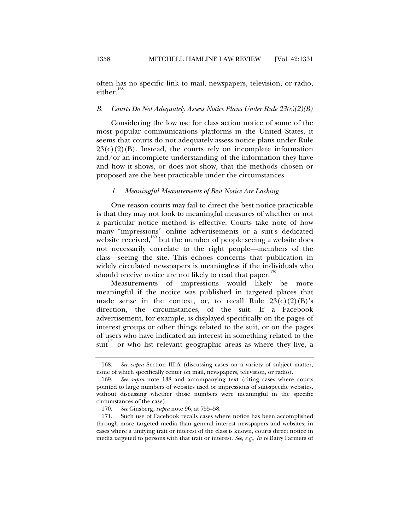often has no specific link to mail, newspapers, television, or radio, either.<sup>168</sup>

#### *B. Courts Do Not Adequately Assess Notice Plans Under Rule 23(c)(2)(B)*

Considering the low use for class action notice of some of the most popular communications platforms in the United States, it seems that courts do not adequately assess notice plans under Rule  $23(c)(2)(B)$ . Instead, the courts rely on incomplete information and/or an incomplete understanding of the information they have and how it shows, or does not show, that the methods chosen or proposed are the best practicable under the circumstances.

#### *1. Meaningful Measurements of Best Notice Are Lacking*

One reason courts may fail to direct the best notice practicable is that they may not look to meaningful measures of whether or not a particular notice method is effective. Courts take note of how many "impressions" online advertisements or a suit's dedicated website received,<sup>169</sup> but the number of people seeing a website does not necessarily correlate to the right people—members of the class—seeing the site. This echoes concerns that publication in widely circulated newspapers is meaningless if the individuals who should receive notice are not likely to read that paper. $170$ 

Measurements of impressions would likely be more meaningful if the notice was published in targeted places that made sense in the context, or, to recall Rule  $23(c)(2)(B)$ 's direction, the circumstances, of the suit. If a Facebook advertisement, for example, is displayed specifically on the pages of interest groups or other things related to the suit, or on the pages of users who have indicated an interest in something related to the  $suit<sup>171</sup>$  or who list relevant geographic areas as where they live, a

 <sup>168.</sup> *See supra* Section III.A (discussing cases on a variety of subject matter, none of which specifically center on mail, newspapers, television, or radio).

 <sup>169.</sup> *See supra* note 138 and accompanying text (citing cases where courts pointed to large numbers of websites used or impressions of suit-specific websites, without discussing whether those numbers were meaningful in the specific circumstances of the case).

 <sup>170.</sup> *See* Ginsberg, *supra* note 96, at 755–58.

 <sup>171.</sup> Such use of Facebook recalls cases where notice has been accomplished through more targeted media than general interest newspapers and websites; in cases where a unifying trait or interest of the class is known, courts direct notice in media targeted to persons with that trait or interest. *See, e.g.*, *In re* Dairy Farmers of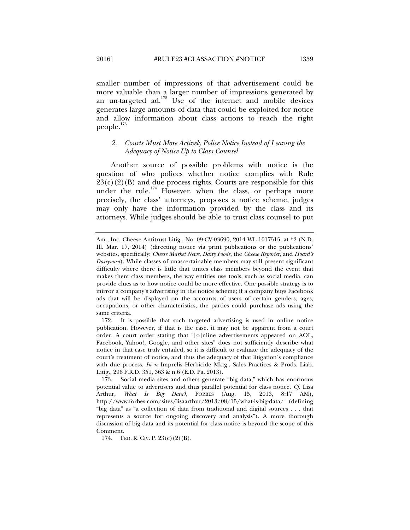smaller number of impressions of that advertisement could be more valuable than a larger number of impressions generated by an un-targeted  $ad.172}$  Use of the internet and mobile devices generates large amounts of data that could be exploited for notice and allow information about class actions to reach the right people.<sup>173</sup>

# *2. Courts Must More Actively Police Notice Instead of Leaving the Adequacy of Notice Up to Class Counsel*

Another source of possible problems with notice is the question of who polices whether notice complies with Rule  $23(c)(2)(B)$  and due process rights. Courts are responsible for this under the rule.<sup>174</sup> However, when the class, or perhaps more precisely, the class' attorneys, proposes a notice scheme, judges may only have the information provided by the class and its attorneys. While judges should be able to trust class counsel to put

Am., Inc. Cheese Antitrust Litig., No. 09-CV-03690, 2014 WL 1017515, at \*2 (N.D. Ill. Mar. 17, 2014) (directing notice via print publications or the publications' websites, specifically: *Cheese Market News*, *Dairy Foods*, the *Cheese Reporter*, and *Hoard's Dairyman*). While classes of unascertainable members may still present significant difficulty where there is little that unites class members beyond the event that makes them class members, the way entities use tools, such as social media, can provide clues as to how notice could be more effective. One possible strategy is to mirror a company's advertising in the notice scheme; if a company buys Facebook ads that will be displayed on the accounts of users of certain genders, ages, occupations, or other characteristics, the parties could purchase ads using the same criteria.

 <sup>172.</sup> It is possible that such targeted advertising is used in online notice publication. However, if that is the case, it may not be apparent from a court order. A court order stating that "[o]nline advertisements appeared on AOL, Facebook, Yahoo!, Google, and other sites" does not sufficiently describe what notice in that case truly entailed, so it is difficult to evaluate the adequacy of the court's treatment of notice, and thus the adequacy of that litigation's compliance with due process. *In re* Imprelis Herbicide Mktg., Sales Practices & Prods. Liab. Litig., 296 F.R.D. 351, 363 & n.6 (E.D. Pa. 2013).

 <sup>173.</sup> Social media sites and others generate "big data," which has enormous potential value to advertisers and thus parallel potential for class notice. *Cf.* Lisa Arthur, *What Is Big Data?*, FORBES (Aug. 15, 2013, 8:17 AM), http://www.forbes.com/sites/lisaarthur/2013/08/15/what-is-big-data/ (defining "big data" as "a collection of data from traditional and digital sources . . . that represents a source for ongoing discovery and analysis"). A more thorough discussion of big data and its potential for class notice is beyond the scope of this Comment.

 <sup>174.</sup> FED. R. CIV. P. 23(c)(2)(B).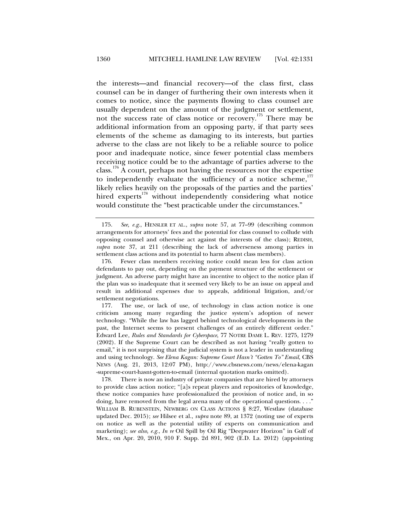the interests—and financial recovery—of the class first, class counsel can be in danger of furthering their own interests when it comes to notice, since the payments flowing to class counsel are usually dependent on the amount of the judgment or settlement, not the success rate of class notice or recovery.175 There may be additional information from an opposing party, if that party sees elements of the scheme as damaging to its interests, but parties adverse to the class are not likely to be a reliable source to police poor and inadequate notice, since fewer potential class members receiving notice could be to the advantage of parties adverse to the class.<sup>176</sup> A court, perhaps not having the resources nor the expertise to independently evaluate the sufficiency of a notice scheme, $177$ likely relies heavily on the proposals of the parties and the parties' hired experts<sup>178</sup> without independently considering what notice would constitute the "best practicable under the circumstances."

 178. There is now an industry of private companies that are hired by attorneys to provide class action notice; "[a]s repeat players and repositories of knowledge, these notice companies have professionalized the provision of notice and, in so doing, have removed from the legal arena many of the operational questions. . . ." WILLIAM B. RUBENSTEIN, NEWBERG ON CLASS ACTIONS § 8:27, Westlaw (database updated Dec. 2015); *see* Hilsee et al., *supra* note 89, at 1372 (noting use of experts on notice as well as the potential utility of experts on communication and marketing); *see also, e.g.*, *In re* Oil Spill by Oil Rig "Deepwater Horizon" in Gulf of Mex., on Apr. 20, 2010, 910 F. Supp. 2d 891, 902 (E.D. La. 2012) (appointing

 <sup>175.</sup> *See, e.g.*, HENSLER ET AL., *supra* note 57, at 77–99 (describing common arrangements for attorneys' fees and the potential for class counsel to collude with opposing counsel and otherwise act against the interests of the class); REDISH, *supra* note 37, at 211 (describing the lack of adverseness among parties in settlement class actions and its potential to harm absent class members).

 <sup>176.</sup> Fewer class members receiving notice could mean less for class action defendants to pay out, depending on the payment structure of the settlement or judgment. An adverse party might have an incentive to object to the notice plan if the plan was so inadequate that it seemed very likely to be an issue on appeal and result in additional expenses due to appeals, additional litigation, and/or settlement negotiations.

 <sup>177.</sup> The use, or lack of use, of technology in class action notice is one criticism among many regarding the justice system's adoption of newer technology. "While the law has lagged behind technological developments in the past, the Internet seems to present challenges of an entirely different order." Edward Lee, *Rules and Standards for Cyberspace*, 77 NOTRE DAME L. REV. 1275, 1279 (2002). If the Supreme Court can be described as not having "really gotten to email," it is not surprising that the judicial system is not a leader in understanding and using technology. *See Elena Kagan: Supreme Court Hasn't "Gotten To" Email*, CBS NEWS (Aug. 21, 2013, 12:07 PM), http://www.cbsnews.com/news/elena-kagan -supreme-court-hasnt-gotten-to-email (internal quotation marks omitted).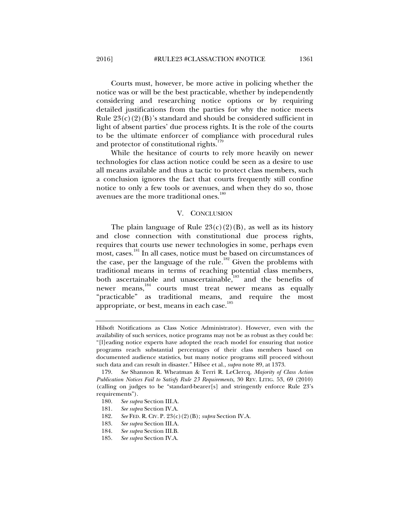Courts must, however, be more active in policing whether the notice was or will be the best practicable, whether by independently considering and researching notice options or by requiring detailed justifications from the parties for why the notice meets Rule  $23(c)(2)(B)$ 's standard and should be considered sufficient in light of absent parties' due process rights. It is the role of the courts to be the ultimate enforcer of compliance with procedural rules and protector of constitutional rights.<sup>179</sup>

While the hesitance of courts to rely more heavily on newer technologies for class action notice could be seen as a desire to use all means available and thus a tactic to protect class members, such a conclusion ignores the fact that courts frequently still confine notice to only a few tools or avenues, and when they do so, those avenues are the more traditional ones.<sup>180</sup>

#### V. CONCLUSION

The plain language of Rule  $23(c)(2)(B)$ , as well as its history and close connection with constitutional due process rights, requires that courts use newer technologies in some, perhaps even most, cases.<sup>181</sup> In all cases, notice must be based on circumstances of the case, per the language of the rule.<sup>182</sup> Given the problems with traditional means in terms of reaching potential class members, both ascertainable and unascertainable,<sup>183</sup> and the benefits of newer means,<sup>184</sup> courts must treat newer means as equally "practicable" as traditional means, and require the most appropriate, or best, means in each case.<sup>185</sup>

Hilsoft Notifications as Class Notice Administrator). However, even with the availability of such services, notice programs may not be as robust as they could be: "[l]eading notice experts have adopted the reach model for ensuring that notice programs reach substantial percentages of their class members based on documented audience statistics, but many notice programs still proceed without such data and can result in disaster." Hilsee et al., *supra* note 89, at 1373.

 <sup>179.</sup> *See* Shannon R. Wheatman & Terri R. LeClercq, *Majority of Class Action Publication Notices Fail to Satisfy Rule 23 Requirements*, 30 REV. LITIG. 53, 69 (2010) (calling on judges to be "standard-bearer[s] and stringently enforce Rule 23's requirements").

 <sup>180.</sup> *See supra* Section III.A.

 <sup>181.</sup> *See supra* Section IV.A.

 <sup>182.</sup> *See* FED. R. CIV. P. 23(c)(2)(B); *supra* Section IV.A.

 <sup>183.</sup> *See supra* Section III.A.

 <sup>184.</sup> *See supra* Section III.B.

 <sup>185.</sup> *See supra* Section IV.A.